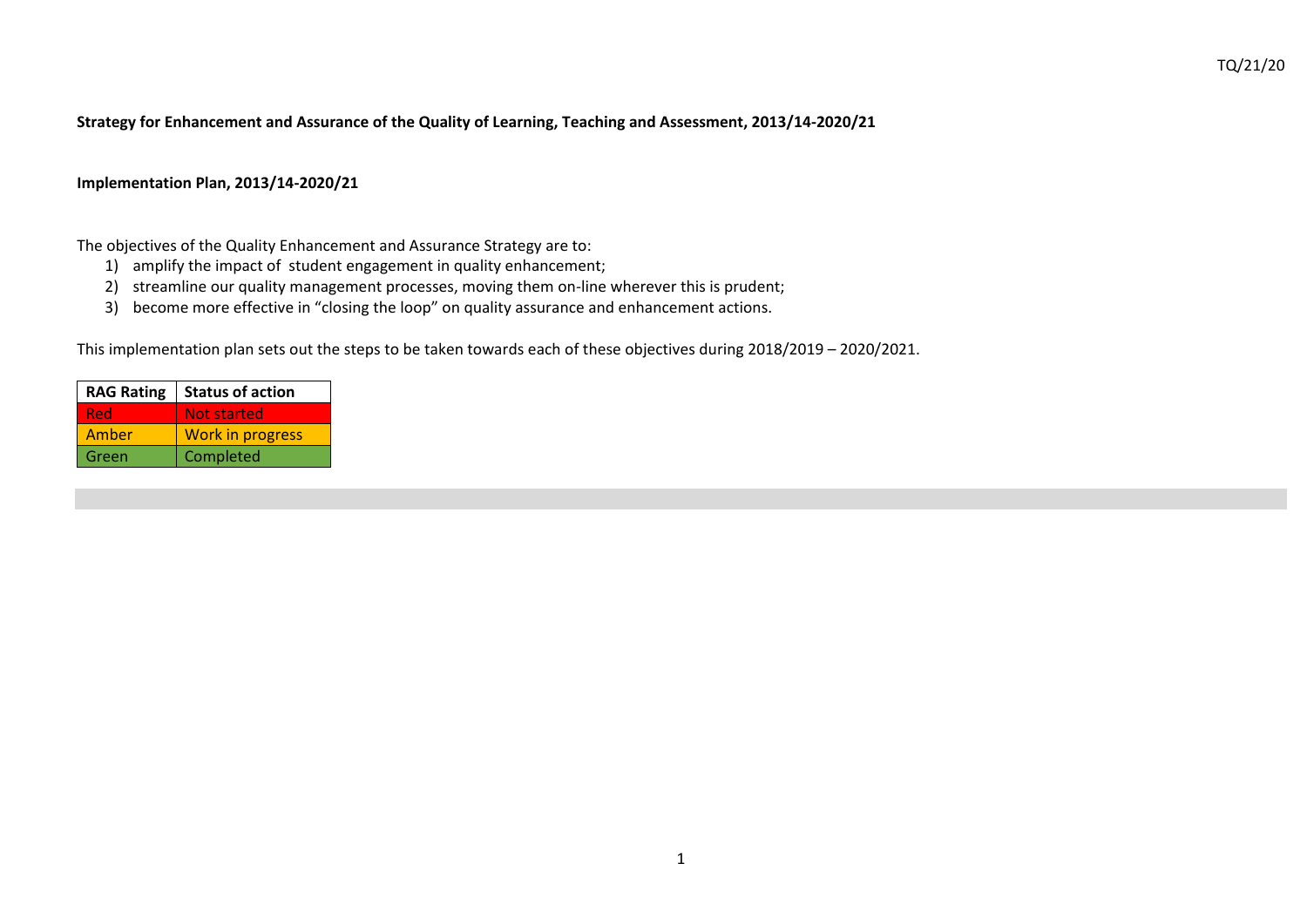#### **Strategy for Enhancement and Assurance of the Quality of Learning, Teaching and Assessment, 2013/14-2020/21**

#### **Implementation Plan, 2013/14-2020/21**

The objectives of the Quality Enhancement and Assurance Strategy are to:

- 1) amplify the impact of student engagement in quality enhancement;
- 2) streamline our quality management processes, moving them on-line wherever this is prudent;
- 3) become more effective in "closing the loop" on quality assurance and enhancement actions.

This implementation plan sets out the steps to be taken towards each of these objectives during 2018/2019 – 2020/2021.

|       | RAG Rating   Status of action |  |  |
|-------|-------------------------------|--|--|
| Red   | Not started                   |  |  |
| Amber | <b>Work in progress</b>       |  |  |
| Green | Completed                     |  |  |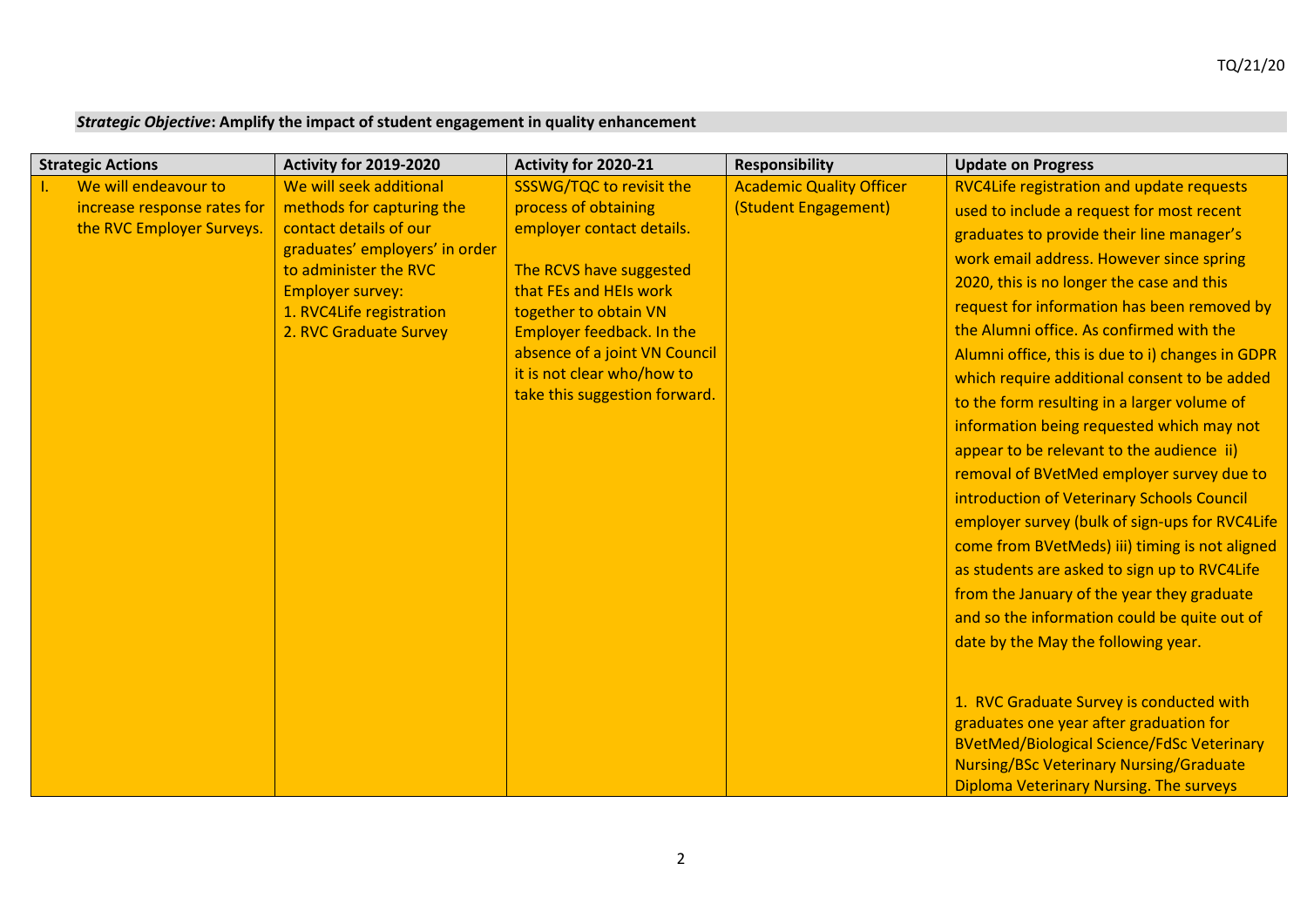# *Strategic Objective***: Amplify the impact of student engagement in quality enhancement**

| <b>Strategic Actions</b>    | Activity for 2019-2020                           | Activity for 2020-21                              | <b>Responsibility</b>           | <b>Update on Progress</b>                         |
|-----------------------------|--------------------------------------------------|---------------------------------------------------|---------------------------------|---------------------------------------------------|
| We will endeavour to        | We will seek additional                          | SSSWG/TQC to revisit the                          | <b>Academic Quality Officer</b> | RVC4Life registration and update requests         |
| increase response rates for | methods for capturing the                        | process of obtaining                              | (Student Engagement)            | used to include a request for most recent         |
| the RVC Employer Surveys.   | contact details of our                           | employer contact details.                         |                                 | graduates to provide their line manager's         |
|                             | graduates' employers' in order                   |                                                   |                                 | work email address. However since spring          |
|                             | to administer the RVC<br><b>Employer survey:</b> | The RCVS have suggested<br>that FEs and HEIs work |                                 | 2020, this is no longer the case and this         |
|                             | 1. RVC4Life registration                         | together to obtain VN                             |                                 | request for information has been removed by       |
|                             | 2. RVC Graduate Survey                           | Employer feedback. In the                         |                                 | the Alumni office. As confirmed with the          |
|                             |                                                  | absence of a joint VN Council                     |                                 | Alumni office, this is due to i) changes in GDPR  |
|                             |                                                  | it is not clear who/how to                        |                                 | which require additional consent to be added      |
|                             |                                                  | take this suggestion forward.                     |                                 | to the form resulting in a larger volume of       |
|                             |                                                  |                                                   |                                 | information being requested which may not         |
|                             |                                                  |                                                   |                                 | appear to be relevant to the audience ii)         |
|                             |                                                  |                                                   |                                 | removal of BVetMed employer survey due to         |
|                             |                                                  |                                                   |                                 | introduction of Veterinary Schools Council        |
|                             |                                                  |                                                   |                                 | employer survey (bulk of sign-ups for RVC4Life    |
|                             |                                                  |                                                   |                                 | come from BVetMeds) iii) timing is not aligned    |
|                             |                                                  |                                                   |                                 | as students are asked to sign up to RVC4Life      |
|                             |                                                  |                                                   |                                 | from the January of the year they graduate        |
|                             |                                                  |                                                   |                                 | and so the information could be quite out of      |
|                             |                                                  |                                                   |                                 | date by the May the following year.               |
|                             |                                                  |                                                   |                                 |                                                   |
|                             |                                                  |                                                   |                                 |                                                   |
|                             |                                                  |                                                   |                                 | 1. RVC Graduate Survey is conducted with          |
|                             |                                                  |                                                   |                                 | graduates one year after graduation for           |
|                             |                                                  |                                                   |                                 | <b>BVetMed/Biological Science/FdSc Veterinary</b> |
|                             |                                                  |                                                   |                                 | <b>Nursing/BSc Veterinary Nursing/Graduate</b>    |
|                             |                                                  |                                                   |                                 | <b>Diploma Veterinary Nursing. The surveys</b>    |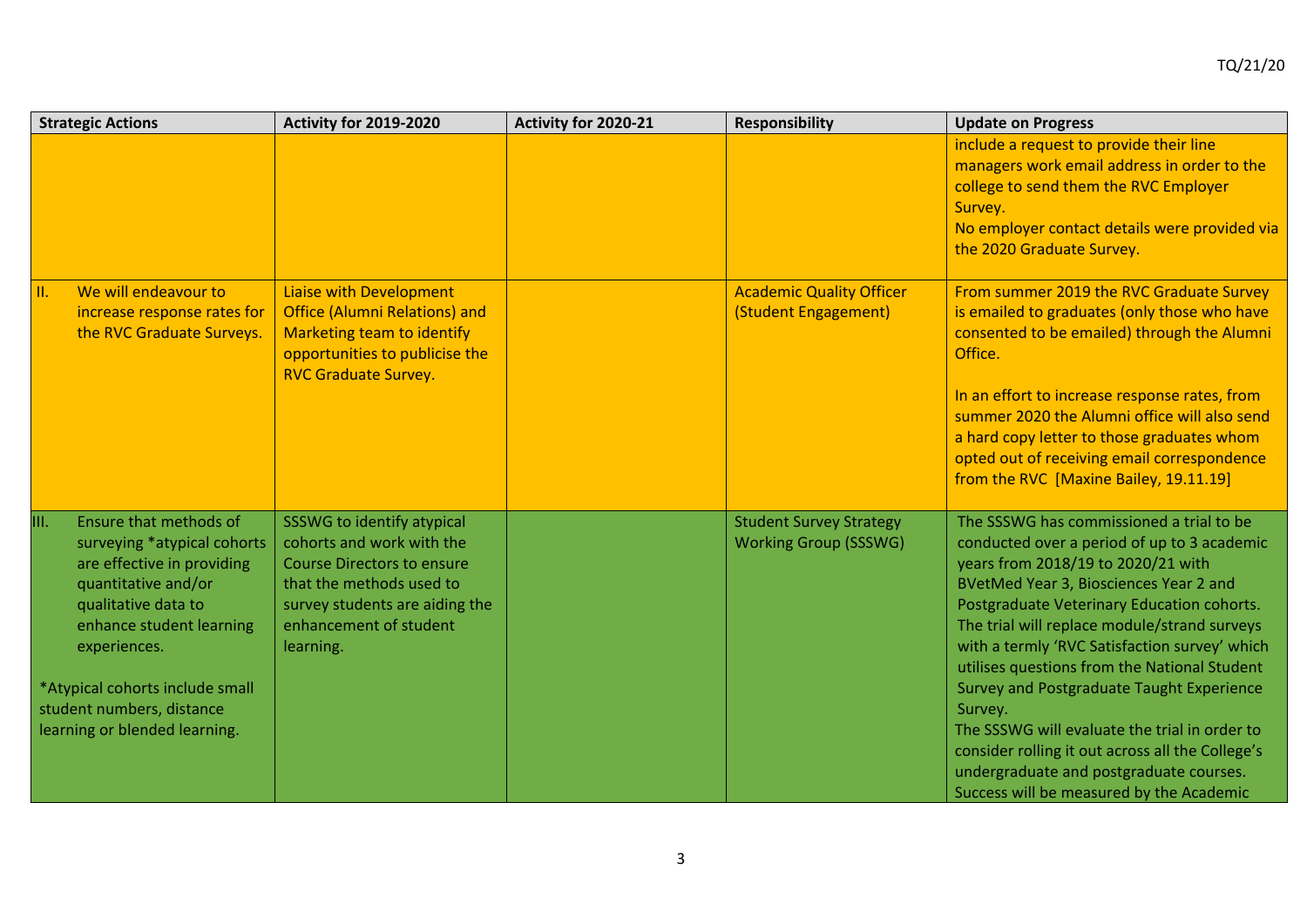| <b>Strategic Actions</b>                                                                                                                                                                                                                                                               | Activity for 2019-2020                                                                                                                                                                            | Activity for 2020-21 | <b>Responsibility</b>                                          | <b>Update on Progress</b>                                                                                                                                                                                                                                                                                                                                                                                                                                                                                                                                                                                                  |
|----------------------------------------------------------------------------------------------------------------------------------------------------------------------------------------------------------------------------------------------------------------------------------------|---------------------------------------------------------------------------------------------------------------------------------------------------------------------------------------------------|----------------------|----------------------------------------------------------------|----------------------------------------------------------------------------------------------------------------------------------------------------------------------------------------------------------------------------------------------------------------------------------------------------------------------------------------------------------------------------------------------------------------------------------------------------------------------------------------------------------------------------------------------------------------------------------------------------------------------------|
|                                                                                                                                                                                                                                                                                        |                                                                                                                                                                                                   |                      |                                                                | include a request to provide their line<br>managers work email address in order to the<br>college to send them the RVC Employer<br>Survey.<br>No employer contact details were provided via<br>the 2020 Graduate Survey.                                                                                                                                                                                                                                                                                                                                                                                                   |
| We will endeavour to<br>$\mathbf{II}$ .<br>increase response rates for<br>the RVC Graduate Surveys.                                                                                                                                                                                    | <b>Liaise with Development</b><br><b>Office (Alumni Relations) and</b><br>Marketing team to identify<br>opportunities to publicise the<br><b>RVC Graduate Survey.</b>                             |                      | <b>Academic Quality Officer</b><br>(Student Engagement)        | From summer 2019 the RVC Graduate Survey<br>is emailed to graduates (only those who have<br>consented to be emailed) through the Alumni<br>Office.<br>In an effort to increase response rates, from<br>summer 2020 the Alumni office will also send<br>a hard copy letter to those graduates whom<br>opted out of receiving email correspondence<br>from the RVC [Maxine Bailey, 19.11.19]                                                                                                                                                                                                                                 |
| Ensure that methods of<br>III.<br>surveying *atypical cohorts<br>are effective in providing<br>quantitative and/or<br>qualitative data to<br>enhance student learning<br>experiences.<br>*Atypical cohorts include small<br>student numbers, distance<br>learning or blended learning. | SSSWG to identify atypical<br>cohorts and work with the<br><b>Course Directors to ensure</b><br>that the methods used to<br>survey students are aiding the<br>enhancement of student<br>learning. |                      | <b>Student Survey Strategy</b><br><b>Working Group (SSSWG)</b> | The SSSWG has commissioned a trial to be<br>conducted over a period of up to 3 academic<br>years from 2018/19 to 2020/21 with<br>BVetMed Year 3, Biosciences Year 2 and<br>Postgraduate Veterinary Education cohorts.<br>The trial will replace module/strand surveys<br>with a termly 'RVC Satisfaction survey' which<br>utilises questions from the National Student<br>Survey and Postgraduate Taught Experience<br>Survey.<br>The SSSWG will evaluate the trial in order to<br>consider rolling it out across all the College's<br>undergraduate and postgraduate courses.<br>Success will be measured by the Academic |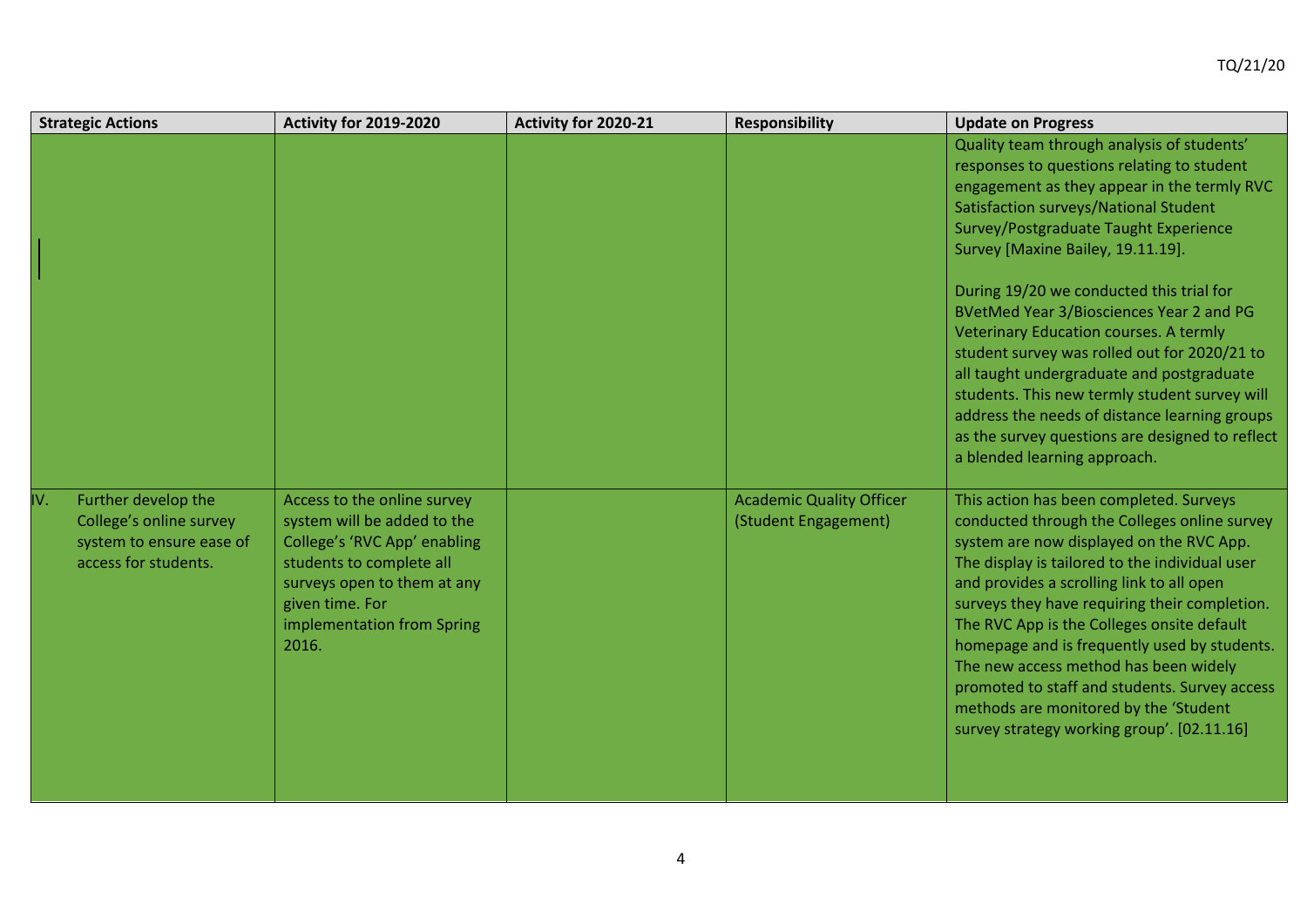| <b>Strategic Actions</b>                                                                                  | Activity for 2019-2020                                                                                                                                                                                          | Activity for 2020-21 | <b>Responsibility</b>                                   | <b>Update on Progress</b>                                                                                                                                                                                                                                                                                                                                                                                                                                                                                                                                          |
|-----------------------------------------------------------------------------------------------------------|-----------------------------------------------------------------------------------------------------------------------------------------------------------------------------------------------------------------|----------------------|---------------------------------------------------------|--------------------------------------------------------------------------------------------------------------------------------------------------------------------------------------------------------------------------------------------------------------------------------------------------------------------------------------------------------------------------------------------------------------------------------------------------------------------------------------------------------------------------------------------------------------------|
|                                                                                                           |                                                                                                                                                                                                                 |                      |                                                         | Quality team through analysis of students'<br>responses to questions relating to student<br>engagement as they appear in the termly RVC<br><b>Satisfaction surveys/National Student</b><br>Survey/Postgraduate Taught Experience<br>Survey [Maxine Bailey, 19.11.19].                                                                                                                                                                                                                                                                                              |
|                                                                                                           |                                                                                                                                                                                                                 |                      |                                                         | During 19/20 we conducted this trial for<br>BVetMed Year 3/Biosciences Year 2 and PG<br>Veterinary Education courses. A termly<br>student survey was rolled out for 2020/21 to<br>all taught undergraduate and postgraduate<br>students. This new termly student survey will<br>address the needs of distance learning groups<br>as the survey questions are designed to reflect<br>a blended learning approach.                                                                                                                                                   |
| IV.<br>Further develop the<br>College's online survey<br>system to ensure ease of<br>access for students. | Access to the online survey<br>system will be added to the<br>College's 'RVC App' enabling<br>students to complete all<br>surveys open to them at any<br>given time. For<br>implementation from Spring<br>2016. |                      | <b>Academic Quality Officer</b><br>(Student Engagement) | This action has been completed. Surveys<br>conducted through the Colleges online survey<br>system are now displayed on the RVC App.<br>The display is tailored to the individual user<br>and provides a scrolling link to all open<br>surveys they have requiring their completion.<br>The RVC App is the Colleges onsite default<br>homepage and is frequently used by students.<br>The new access method has been widely<br>promoted to staff and students. Survey access<br>methods are monitored by the 'Student<br>survey strategy working group'. [02.11.16] |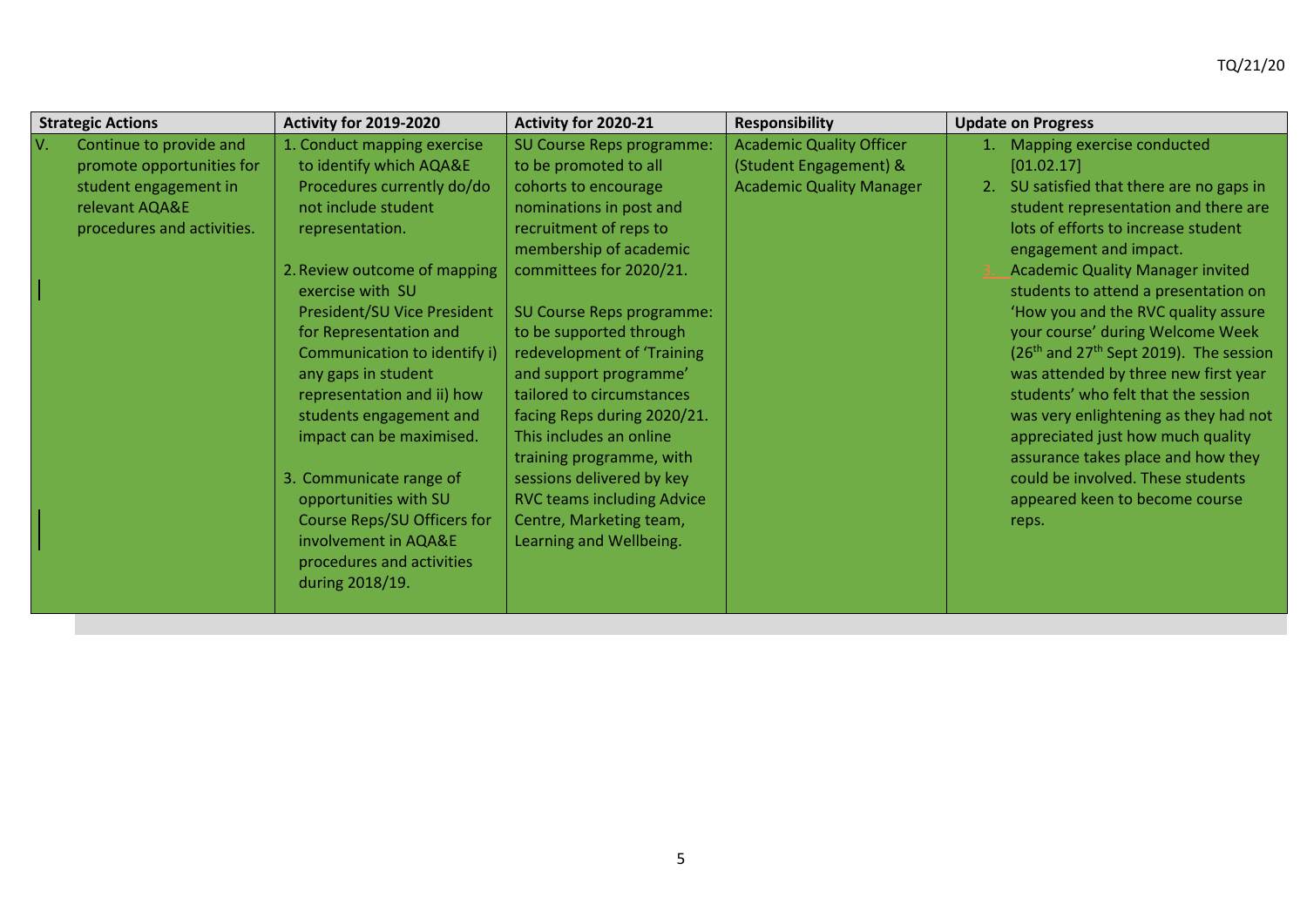|     | <b>Strategic Actions</b>                                                                                                      | Activity for 2019-2020                                                                                                                                                                                                                                                                                                                                                                  | Activity for 2020-21                                                                                                                                                                                                                                                                                                                                                                                                    | <b>Responsibility</b>                                                                        | <b>Update on Progress</b> |                                                                                                                                                                                                                                                                                                                                                                                                                                                                                                                                                                                              |
|-----|-------------------------------------------------------------------------------------------------------------------------------|-----------------------------------------------------------------------------------------------------------------------------------------------------------------------------------------------------------------------------------------------------------------------------------------------------------------------------------------------------------------------------------------|-------------------------------------------------------------------------------------------------------------------------------------------------------------------------------------------------------------------------------------------------------------------------------------------------------------------------------------------------------------------------------------------------------------------------|----------------------------------------------------------------------------------------------|---------------------------|----------------------------------------------------------------------------------------------------------------------------------------------------------------------------------------------------------------------------------------------------------------------------------------------------------------------------------------------------------------------------------------------------------------------------------------------------------------------------------------------------------------------------------------------------------------------------------------------|
| IV. | Continue to provide and<br>promote opportunities for<br>student engagement in<br>relevant AQA&E<br>procedures and activities. | 1. Conduct mapping exercise<br>to identify which AQA&E<br>Procedures currently do/do<br>not include student<br>representation.<br>2. Review outcome of mapping<br>exercise with SU<br>President/SU Vice President<br>for Representation and<br>Communication to identify i)<br>any gaps in student<br>representation and ii) how<br>students engagement and<br>impact can be maximised. | SU Course Reps programme:<br>to be promoted to all<br>cohorts to encourage<br>nominations in post and<br>recruitment of reps to<br>membership of academic<br>committees for 2020/21.<br>SU Course Reps programme:<br>to be supported through<br>redevelopment of 'Training<br>and support programme'<br>tailored to circumstances<br>facing Reps during 2020/21.<br>This includes an online<br>training programme, with | <b>Academic Quality Officer</b><br>(Student Engagement) &<br><b>Academic Quality Manager</b> | [01.02.17]<br>2.          | Mapping exercise conducted<br>SU satisfied that there are no gaps in<br>student representation and there are<br>lots of efforts to increase student<br>engagement and impact.<br><b>Academic Quality Manager invited</b><br>students to attend a presentation on<br>'How you and the RVC quality assure<br>your course' during Welcome Week<br>$(26th$ and $27th$ Sept 2019). The session<br>was attended by three new first year<br>students' who felt that the session<br>was very enlightening as they had not<br>appreciated just how much quality<br>assurance takes place and how they |
|     |                                                                                                                               | 3. Communicate range of<br>opportunities with SU<br><b>Course Reps/SU Officers for</b><br>involvement in AQA&E<br>procedures and activities<br>during 2018/19.                                                                                                                                                                                                                          | sessions delivered by key<br><b>RVC teams including Advice</b><br>Centre, Marketing team,<br>Learning and Wellbeing.                                                                                                                                                                                                                                                                                                    |                                                                                              | reps.                     | could be involved. These students<br>appeared keen to become course                                                                                                                                                                                                                                                                                                                                                                                                                                                                                                                          |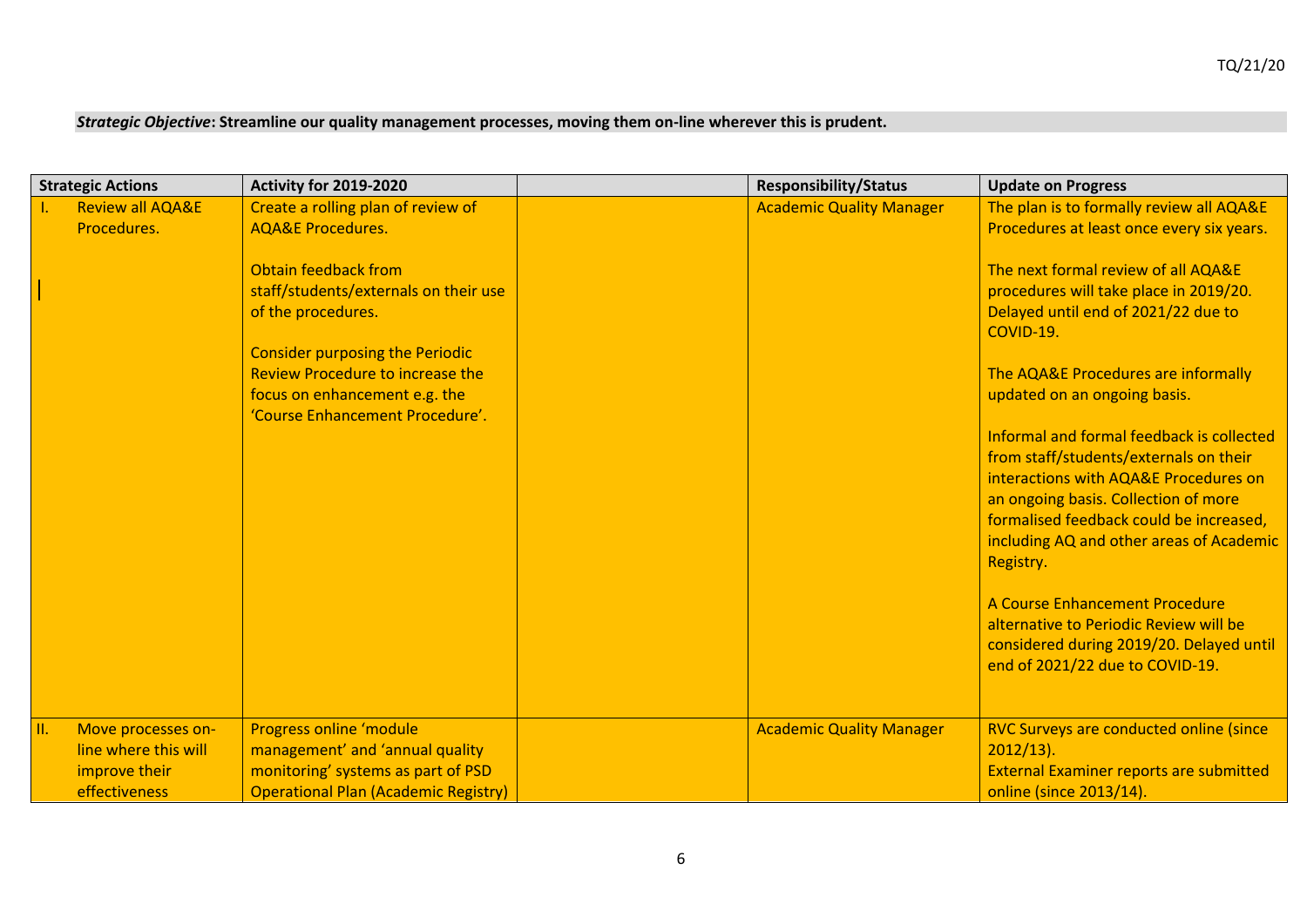### *Strategic Objective***: Streamline our quality management processes, moving them on-line wherever this is prudent.**

| <b>Strategic Actions</b>    | <b>Activity for 2019-2020</b>               | <b>Responsibility/Status</b>    | <b>Update on Progress</b>                      |
|-----------------------------|---------------------------------------------|---------------------------------|------------------------------------------------|
| <b>Review all AQA&amp;E</b> | Create a rolling plan of review of          | <b>Academic Quality Manager</b> | The plan is to formally review all AQA&E       |
| Procedures.                 | <b>AQA&amp;E Procedures.</b>                |                                 | Procedures at least once every six years.      |
|                             |                                             |                                 |                                                |
|                             | Obtain feedback from                        |                                 | The next formal review of all AQA&E            |
|                             | staff/students/externals on their use       |                                 | procedures will take place in 2019/20.         |
|                             | of the procedures.                          |                                 | Delayed until end of 2021/22 due to            |
|                             |                                             |                                 | COVID-19.                                      |
|                             | <b>Consider purposing the Periodic</b>      |                                 |                                                |
|                             | <b>Review Procedure to increase the</b>     |                                 | The AQA&E Procedures are informally            |
|                             | focus on enhancement e.g. the               |                                 | updated on an ongoing basis.                   |
|                             | 'Course Enhancement Procedure'.             |                                 |                                                |
|                             |                                             |                                 | Informal and formal feedback is collected      |
|                             |                                             |                                 | from staff/students/externals on their         |
|                             |                                             |                                 | interactions with AQA&E Procedures on          |
|                             |                                             |                                 | an ongoing basis. Collection of more           |
|                             |                                             |                                 | formalised feedback could be increased,        |
|                             |                                             |                                 | including AQ and other areas of Academic       |
|                             |                                             |                                 | Registry.                                      |
|                             |                                             |                                 | A Course Enhancement Procedure                 |
|                             |                                             |                                 | alternative to Periodic Review will be         |
|                             |                                             |                                 | considered during 2019/20. Delayed until       |
|                             |                                             |                                 | end of 2021/22 due to COVID-19.                |
|                             |                                             |                                 |                                                |
|                             |                                             |                                 |                                                |
| III.<br>Move processes on-  | Progress online 'module                     | <b>Academic Quality Manager</b> | RVC Surveys are conducted online (since        |
| line where this will        | management' and 'annual quality             |                                 | $2012/13$ ).                                   |
| improve their               | monitoring' systems as part of PSD          |                                 | <b>External Examiner reports are submitted</b> |
| effectiveness               | <b>Operational Plan (Academic Registry)</b> |                                 | online (since 2013/14).                        |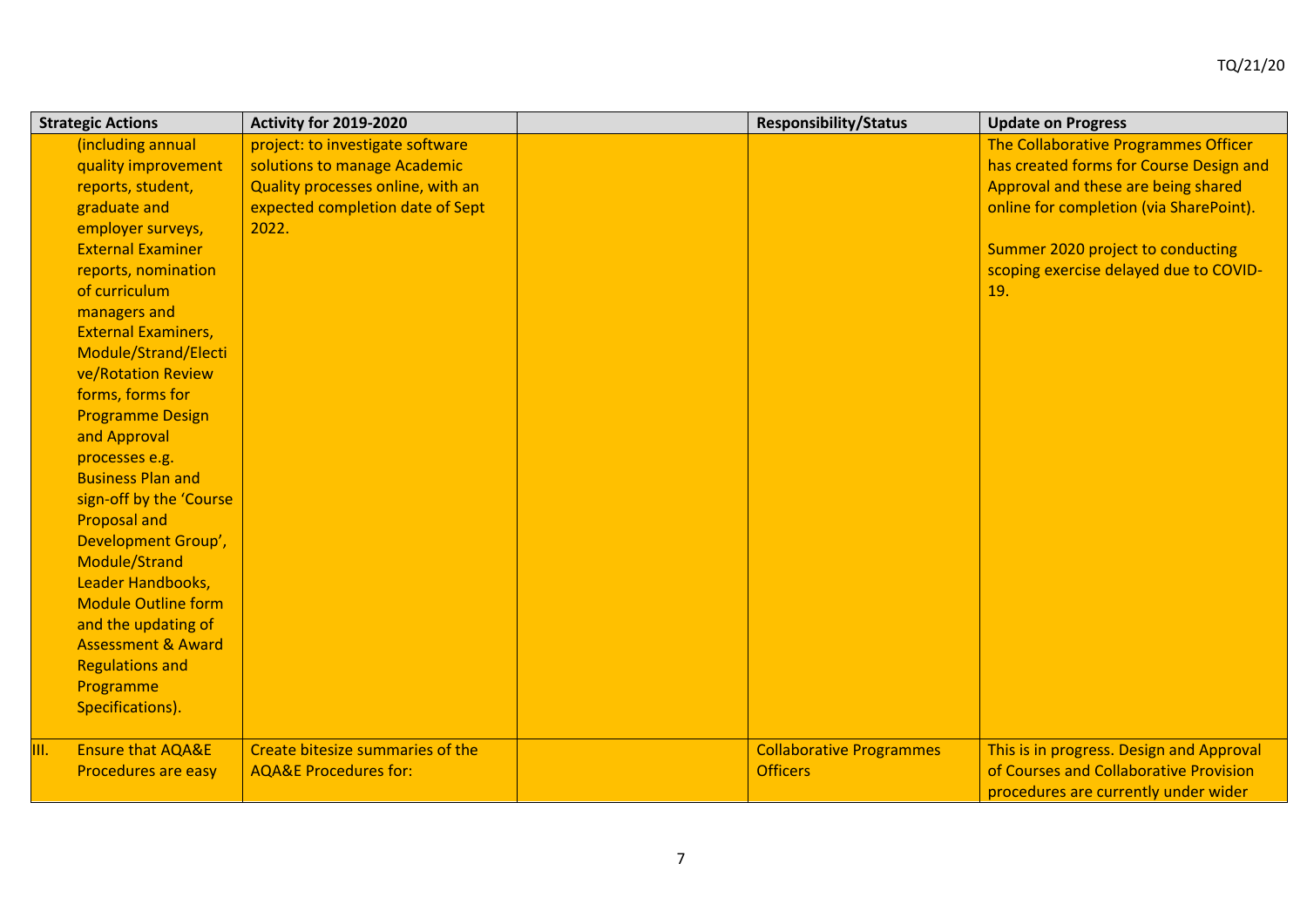| <b>Strategic Actions</b>           | Activity for 2019-2020            | <b>Responsibility/Status</b>    | <b>Update on Progress</b>                |
|------------------------------------|-----------------------------------|---------------------------------|------------------------------------------|
| (including annual                  | project: to investigate software  |                                 | The Collaborative Programmes Officer     |
| quality improvement                | solutions to manage Academic      |                                 | has created forms for Course Design and  |
| reports, student,                  | Quality processes online, with an |                                 | Approval and these are being shared      |
| graduate and                       | expected completion date of Sept  |                                 | online for completion (via SharePoint).  |
| employer surveys,                  | 2022.                             |                                 |                                          |
| <b>External Examiner</b>           |                                   |                                 | Summer 2020 project to conducting        |
| reports, nomination                |                                   |                                 | scoping exercise delayed due to COVID-   |
| of curriculum                      |                                   |                                 | 19.                                      |
| managers and                       |                                   |                                 |                                          |
| <b>External Examiners,</b>         |                                   |                                 |                                          |
| Module/Strand/Electi               |                                   |                                 |                                          |
| ve/Rotation Review                 |                                   |                                 |                                          |
| forms, forms for                   |                                   |                                 |                                          |
| <b>Programme Design</b>            |                                   |                                 |                                          |
| and Approval                       |                                   |                                 |                                          |
| processes e.g.                     |                                   |                                 |                                          |
| <b>Business Plan and</b>           |                                   |                                 |                                          |
| sign-off by the 'Course            |                                   |                                 |                                          |
| <b>Proposal and</b>                |                                   |                                 |                                          |
| Development Group',                |                                   |                                 |                                          |
| Module/Strand                      |                                   |                                 |                                          |
| Leader Handbooks,                  |                                   |                                 |                                          |
| <b>Module Outline form</b>         |                                   |                                 |                                          |
| and the updating of                |                                   |                                 |                                          |
| <b>Assessment &amp; Award</b>      |                                   |                                 |                                          |
| <b>Regulations and</b>             |                                   |                                 |                                          |
| Programme                          |                                   |                                 |                                          |
| Specifications).                   |                                   |                                 |                                          |
| <b>Ensure that AQA&amp;E</b><br>Ш. | Create bitesize summaries of the  | <b>Collaborative Programmes</b> | This is in progress. Design and Approval |
| Procedures are easy                | <b>AQA&amp;E Procedures for:</b>  | <b>Officers</b>                 | of Courses and Collaborative Provision   |
|                                    |                                   |                                 | procedures are currently under wider     |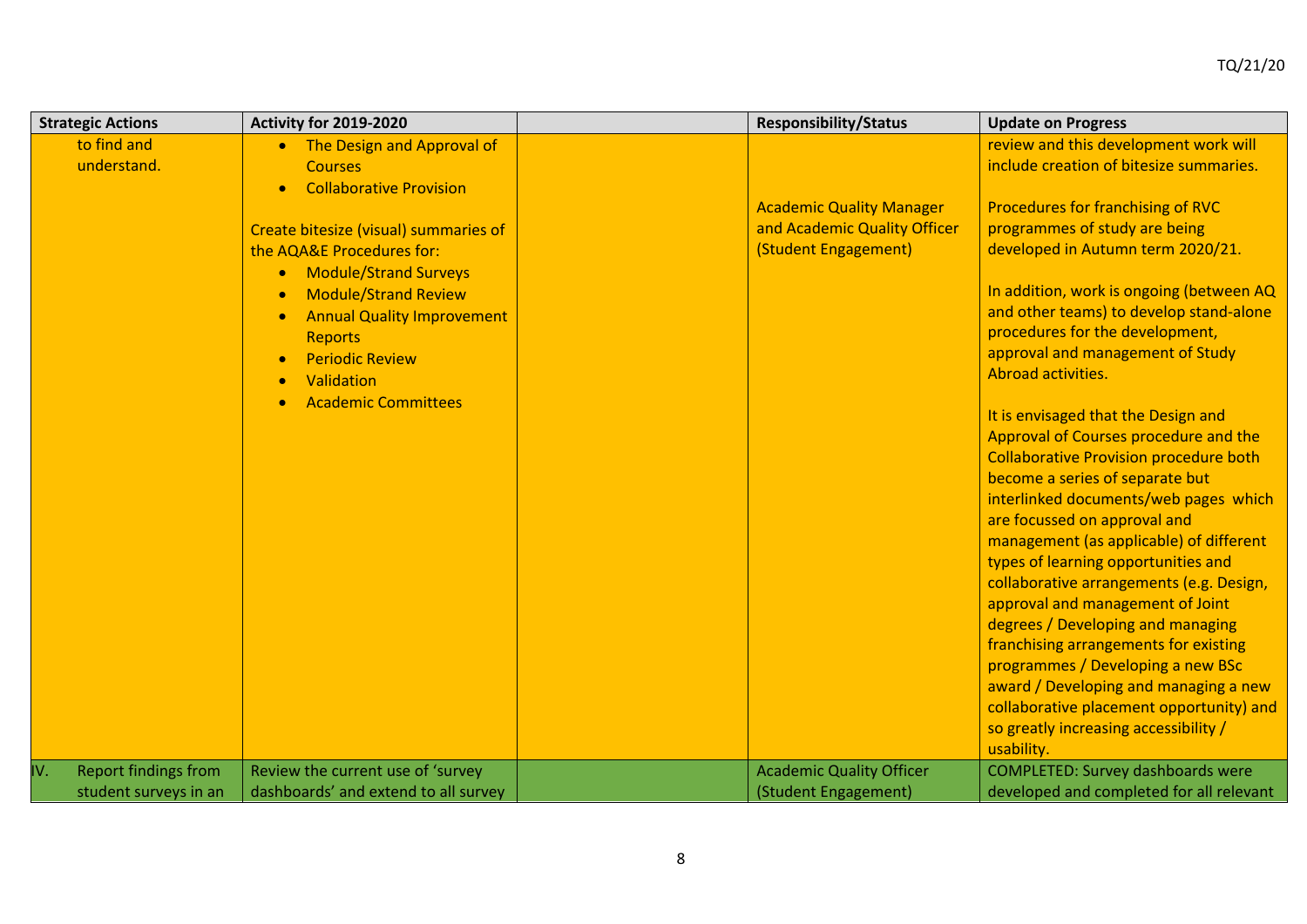| <b>Strategic Actions</b> |                             | Activity for 2019-2020                    | <b>Responsibility/Status</b>    | <b>Update on Progress</b>                                                              |
|--------------------------|-----------------------------|-------------------------------------------|---------------------------------|----------------------------------------------------------------------------------------|
| to find and              |                             | • The Design and Approval of              |                                 | review and this development work will                                                  |
| understand.              |                             | <b>Courses</b>                            |                                 | include creation of bitesize summaries.                                                |
|                          |                             | <b>Collaborative Provision</b>            |                                 |                                                                                        |
|                          |                             |                                           | <b>Academic Quality Manager</b> | Procedures for franchising of RVC                                                      |
|                          |                             | Create bitesize (visual) summaries of     | and Academic Quality Officer    | programmes of study are being                                                          |
|                          |                             | the AQA&E Procedures for:                 | (Student Engagement)            | developed in Autumn term 2020/21.                                                      |
|                          |                             | <b>Module/Strand Surveys</b><br>$\bullet$ |                                 |                                                                                        |
|                          |                             | <b>Module/Strand Review</b><br>$\bullet$  |                                 | In addition, work is ongoing (between AQ                                               |
|                          |                             | <b>Annual Quality Improvement</b>         |                                 | and other teams) to develop stand-alone                                                |
|                          |                             | <b>Reports</b>                            |                                 | procedures for the development,                                                        |
|                          |                             | <b>Periodic Review</b>                    |                                 | approval and management of Study                                                       |
|                          |                             | Validation                                |                                 | Abroad activities.                                                                     |
|                          |                             | <b>Academic Committees</b>                |                                 |                                                                                        |
|                          |                             |                                           |                                 | It is envisaged that the Design and                                                    |
|                          |                             |                                           |                                 | Approval of Courses procedure and the<br><b>Collaborative Provision procedure both</b> |
|                          |                             |                                           |                                 | become a series of separate but                                                        |
|                          |                             |                                           |                                 | interlinked documents/web pages which                                                  |
|                          |                             |                                           |                                 | are focussed on approval and                                                           |
|                          |                             |                                           |                                 | management (as applicable) of different                                                |
|                          |                             |                                           |                                 | types of learning opportunities and                                                    |
|                          |                             |                                           |                                 | collaborative arrangements (e.g. Design,                                               |
|                          |                             |                                           |                                 | approval and management of Joint                                                       |
|                          |                             |                                           |                                 | degrees / Developing and managing                                                      |
|                          |                             |                                           |                                 | franchising arrangements for existing                                                  |
|                          |                             |                                           |                                 | programmes / Developing a new BSc                                                      |
|                          |                             |                                           |                                 | award / Developing and managing a new                                                  |
|                          |                             |                                           |                                 | collaborative placement opportunity) and                                               |
|                          |                             |                                           |                                 | so greatly increasing accessibility /                                                  |
|                          |                             |                                           |                                 | usability.                                                                             |
| IV.                      | <b>Report findings from</b> | Review the current use of 'survey         | <b>Academic Quality Officer</b> | <b>COMPLETED: Survey dashboards were</b>                                               |
|                          | student surveys in an       | dashboards' and extend to all survey      | (Student Engagement)            | developed and completed for all relevant                                               |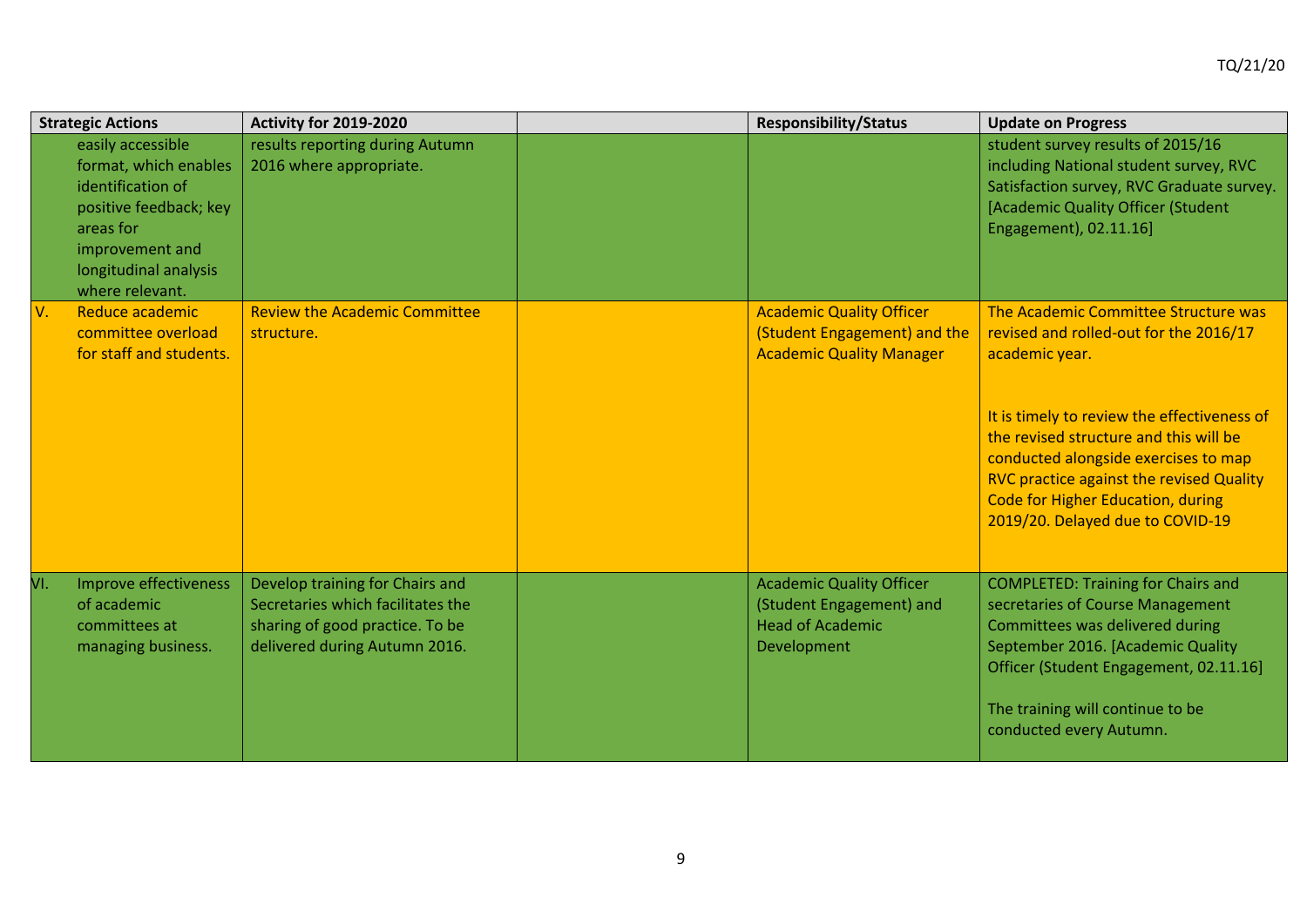|     | <b>Strategic Actions</b>                                                                                                                                              | Activity for 2019-2020                                                                                                                   | <b>Responsibility/Status</b>                                                                          | <b>Update on Progress</b>                                                                                                                                                                                                                                                                                                                              |
|-----|-----------------------------------------------------------------------------------------------------------------------------------------------------------------------|------------------------------------------------------------------------------------------------------------------------------------------|-------------------------------------------------------------------------------------------------------|--------------------------------------------------------------------------------------------------------------------------------------------------------------------------------------------------------------------------------------------------------------------------------------------------------------------------------------------------------|
|     | easily accessible<br>format, which enables<br>identification of<br>positive feedback; key<br>areas for<br>improvement and<br>longitudinal analysis<br>where relevant. | results reporting during Autumn<br>2016 where appropriate.                                                                               |                                                                                                       | student survey results of 2015/16<br>including National student survey, RVC<br>Satisfaction survey, RVC Graduate survey.<br>[Academic Quality Officer (Student<br>Engagement), 02.11.16]                                                                                                                                                               |
| V.  | Reduce academic<br>committee overload<br>for staff and students.                                                                                                      | <b>Review the Academic Committee</b><br>structure.                                                                                       | <b>Academic Quality Officer</b><br>(Student Engagement) and the<br><b>Academic Quality Manager</b>    | The Academic Committee Structure was<br>revised and rolled-out for the 2016/17<br>academic year.<br>It is timely to review the effectiveness of<br>the revised structure and this will be<br>conducted alongside exercises to map<br>RVC practice against the revised Quality<br>Code for Higher Education, during<br>2019/20. Delayed due to COVID-19 |
| VI. | Improve effectiveness<br>of academic<br>committees at<br>managing business.                                                                                           | Develop training for Chairs and<br>Secretaries which facilitates the<br>sharing of good practice. To be<br>delivered during Autumn 2016. | <b>Academic Quality Officer</b><br>(Student Engagement) and<br><b>Head of Academic</b><br>Development | <b>COMPLETED: Training for Chairs and</b><br>secretaries of Course Management<br>Committees was delivered during<br>September 2016. [Academic Quality<br>Officer (Student Engagement, 02.11.16]<br>The training will continue to be<br>conducted every Autumn.                                                                                         |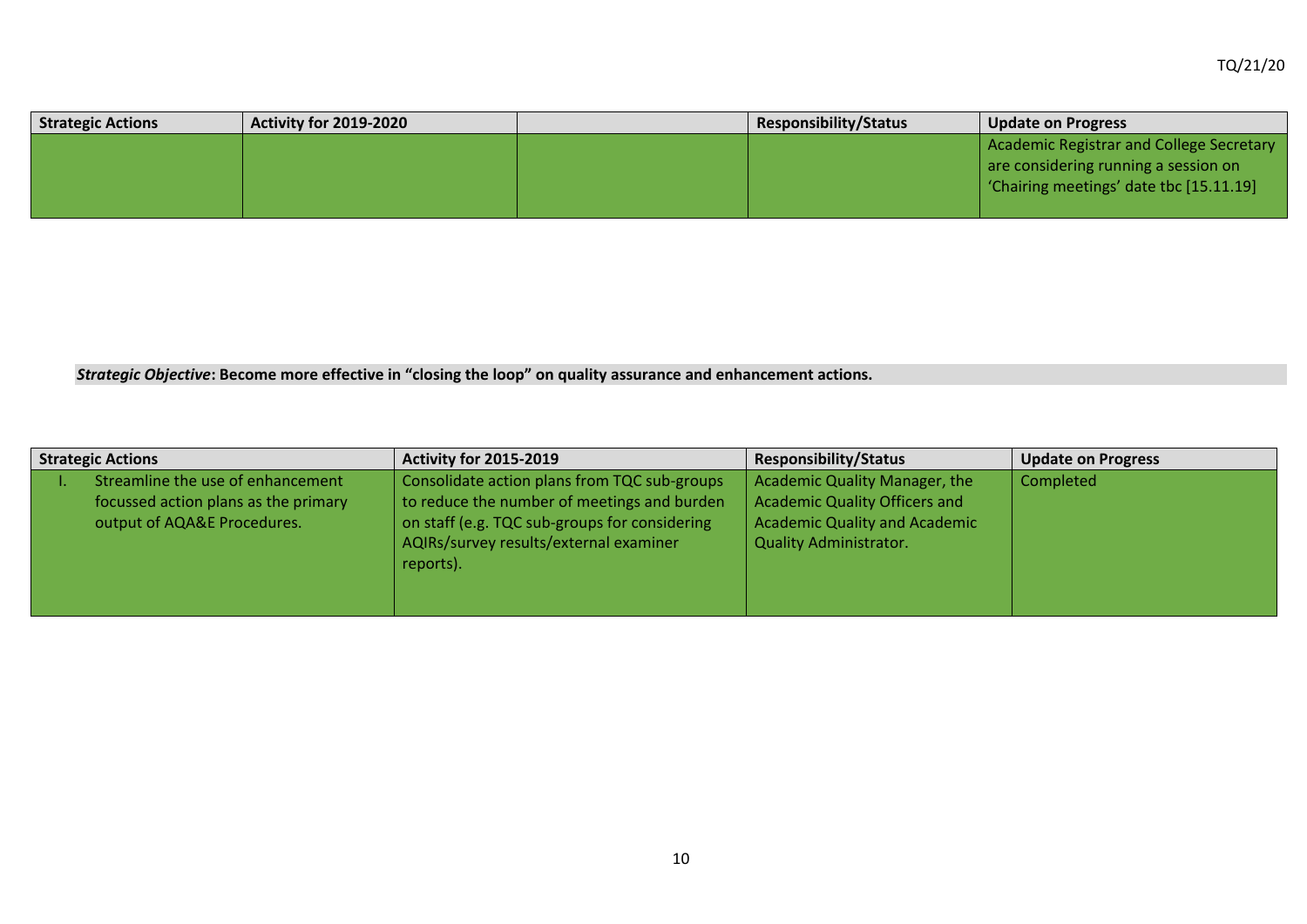| <b>Strategic Actions</b> | <b>Activity for 2019-2020</b> | <b>Responsibility/Status</b> | <b>Update on Progress</b>                |
|--------------------------|-------------------------------|------------------------------|------------------------------------------|
|                          |                               |                              | Academic Registrar and College Secretary |
|                          |                               |                              | are considering running a session on     |
|                          |                               |                              | Chairing meetings' date tbc [15.11.19]   |
|                          |                               |                              |                                          |

*Strategic Objective***: Become more effective in "closing the loop" on quality assurance and enhancement actions.**

| <b>Strategic Actions</b> |                                                                                                          | <b>Activity for 2015-2019</b>                                                                                                                                                                       | <b>Responsibility/Status</b>                                                                                                                   | <b>Update on Progress</b> |
|--------------------------|----------------------------------------------------------------------------------------------------------|-----------------------------------------------------------------------------------------------------------------------------------------------------------------------------------------------------|------------------------------------------------------------------------------------------------------------------------------------------------|---------------------------|
|                          | Streamline the use of enhancement<br>focussed action plans as the primary<br>output of AQA&E Procedures. | Consolidate action plans from TQC sub-groups<br>to reduce the number of meetings and burden<br>on staff (e.g. TQC sub-groups for considering<br>AQIRs/survey results/external examiner<br>reports). | Academic Quality Manager, the<br><b>Academic Quality Officers and</b><br><b>Academic Quality and Academic</b><br><b>Quality Administrator.</b> | Completed                 |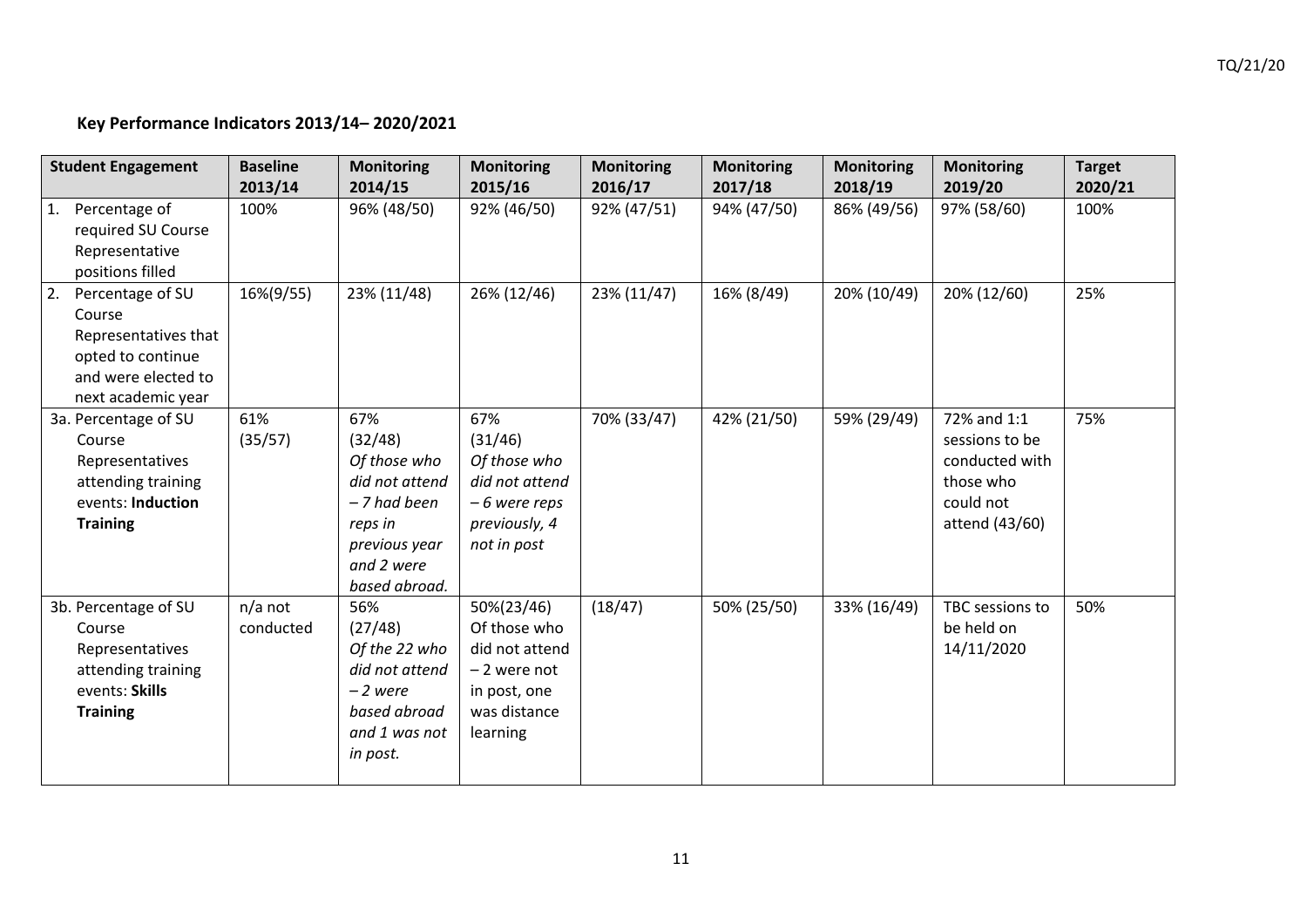# **Key Performance Indicators 2013/14– 2020/2021**

| <b>Student Engagement</b>                                                                                                   | <b>Baseline</b><br>2013/14 | <b>Monitoring</b><br>2014/15                                                                                                | <b>Monitoring</b><br>2015/16                                                                              | <b>Monitoring</b><br>2016/17 | <b>Monitoring</b><br>2017/18 | <b>Monitoring</b><br>2018/19 | <b>Monitoring</b><br>2019/20                                                                | <b>Target</b><br>2020/21 |
|-----------------------------------------------------------------------------------------------------------------------------|----------------------------|-----------------------------------------------------------------------------------------------------------------------------|-----------------------------------------------------------------------------------------------------------|------------------------------|------------------------------|------------------------------|---------------------------------------------------------------------------------------------|--------------------------|
| Percentage of<br>1.<br>required SU Course<br>Representative<br>positions filled                                             | 100%                       | 96% (48/50)                                                                                                                 | 92% (46/50)                                                                                               | 92% (47/51)                  | 94% (47/50)                  | 86% (49/56)                  | 97% (58/60)                                                                                 | 100%                     |
| Percentage of SU<br> 2.<br>Course<br>Representatives that<br>opted to continue<br>and were elected to<br>next academic year | 16%(9/55)                  | 23% (11/48)                                                                                                                 | 26% (12/46)                                                                                               | 23% (11/47)                  | 16% (8/49)                   | 20% (10/49)                  | 20% (12/60)                                                                                 | 25%                      |
| 3a. Percentage of SU<br>Course<br>Representatives<br>attending training<br>events: Induction<br><b>Training</b>             | 61%<br>(35/57)             | 67%<br>(32/48)<br>Of those who<br>did not attend<br>- 7 had been<br>reps in<br>previous year<br>and 2 were<br>based abroad. | 67%<br>(31/46)<br>Of those who<br>did not attend<br>-6 were reps<br>previously, 4<br>not in post          | 70% (33/47)                  | 42% (21/50)                  | 59% (29/49)                  | 72% and 1:1<br>sessions to be<br>conducted with<br>those who<br>could not<br>attend (43/60) | 75%                      |
| 3b. Percentage of SU<br>Course<br>Representatives<br>attending training<br>events: Skills<br><b>Training</b>                | $n/a$ not<br>conducted     | 56%<br>(27/48)<br>Of the 22 who<br>did not attend<br>$-2$ were<br>based abroad<br>and 1 was not<br>in post.                 | 50%(23/46)<br>Of those who<br>did not attend<br>$-2$ were not<br>in post, one<br>was distance<br>learning | (18/47)                      | 50% (25/50)                  | 33% (16/49)                  | TBC sessions to<br>be held on<br>14/11/2020                                                 | 50%                      |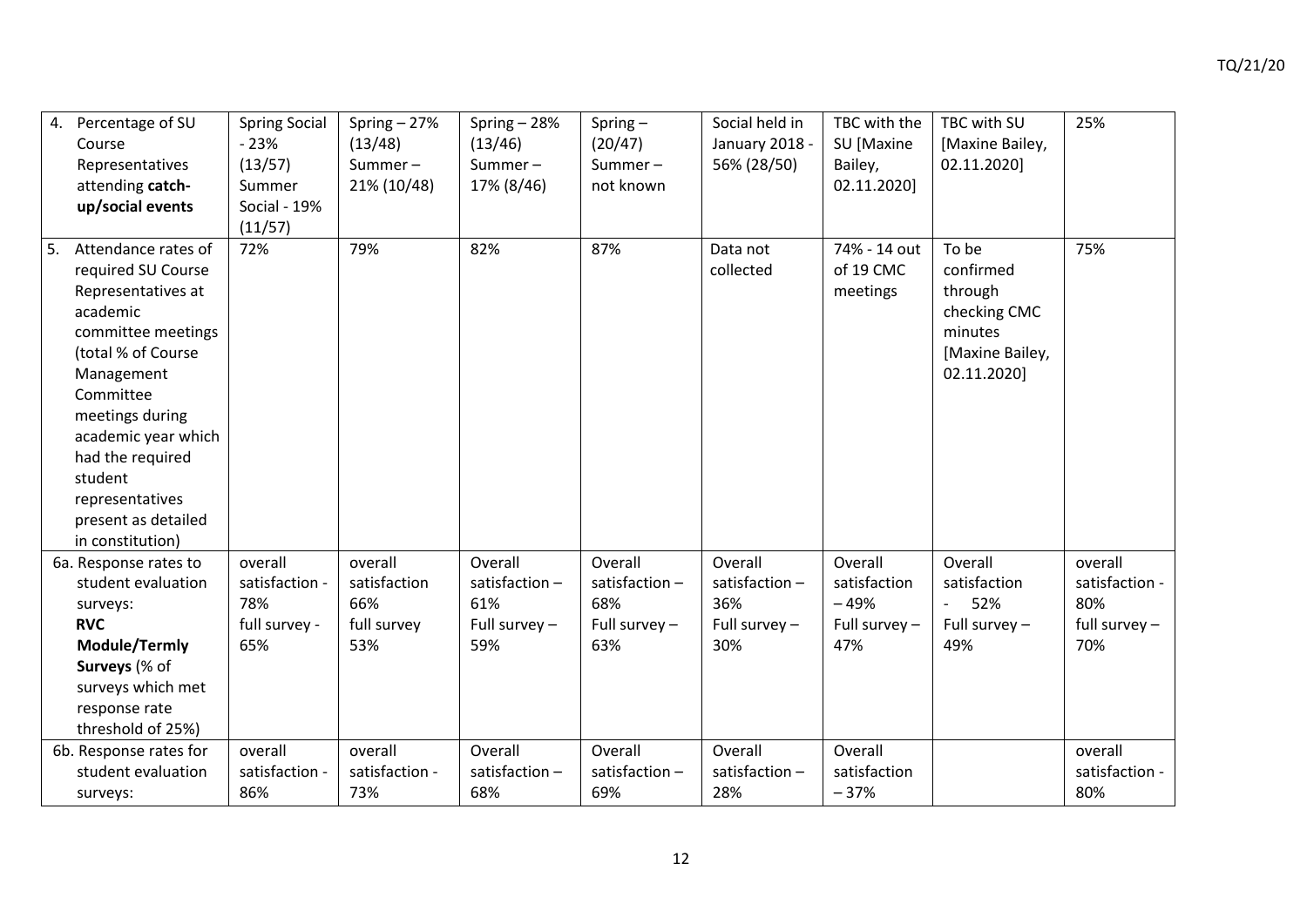| 4. | Percentage of SU<br>Course<br>Representatives<br>attending catch-<br>up/social events                                                                                                                                                                                                     | <b>Spring Social</b><br>$-23%$<br>(13/57)<br>Summer<br>Social - 19%<br>(11/57) | Spring $-27%$<br>(13/48)<br>Summer $-$<br>21% (10/48) | Spring - 28%<br>(13/46)<br>Summer $-$<br>17% (8/46)       | Spring $-$<br>(20/47)<br>Summer $-$<br>not known          | Social held in<br>January 2018 -<br>56% (28/50)         | TBC with the<br>SU [Maxine<br>Bailey,<br>02.11.2020]      | TBC with SU<br>[Maxine Bailey,<br>02.11.2020]                                              | 25%                                                        |
|----|-------------------------------------------------------------------------------------------------------------------------------------------------------------------------------------------------------------------------------------------------------------------------------------------|--------------------------------------------------------------------------------|-------------------------------------------------------|-----------------------------------------------------------|-----------------------------------------------------------|---------------------------------------------------------|-----------------------------------------------------------|--------------------------------------------------------------------------------------------|------------------------------------------------------------|
|    | Attendance rates of<br>required SU Course<br>Representatives at<br>academic<br>committee meetings<br>(total % of Course<br>Management<br>Committee<br>meetings during<br>academic year which<br>had the required<br>student<br>representatives<br>present as detailed<br>in constitution) | 72%                                                                            | 79%                                                   | 82%                                                       | 87%                                                       | Data not<br>collected                                   | 74% - 14 out<br>of 19 CMC<br>meetings                     | To be<br>confirmed<br>through<br>checking CMC<br>minutes<br>[Maxine Bailey,<br>02.11.2020] | 75%                                                        |
|    | 6a. Response rates to<br>student evaluation<br>surveys:<br><b>RVC</b><br>Module/Termly<br>Surveys (% of<br>surveys which met                                                                                                                                                              | overall<br>satisfaction -<br>78%<br>full survey -<br>65%                       | overall<br>satisfaction<br>66%<br>full survey<br>53%  | Overall<br>satisfaction-<br>61%<br>Full survey $-$<br>59% | Overall<br>satisfaction-<br>68%<br>Full survey $-$<br>63% | Overall<br>satisfaction-<br>36%<br>Full survey -<br>30% | Overall<br>satisfaction<br>$-49%$<br>Full survey -<br>47% | Overall<br>satisfaction<br>52%<br>$\overline{\phantom{a}}$<br>Full survey $-$<br>49%       | overall<br>satisfaction -<br>80%<br>full survey $-$<br>70% |

response rate threshold of 25%)

6b. Response rates for student evaluation

overall satisfaction - overall satisfaction - **Overall** satisfaction –

68%

73%

86%

surveys:

**Overall** satisfaction –

**Overall** satisfaction – 37%

overall satisfaction -

80%

28%

**Overall** satisfaction –

69%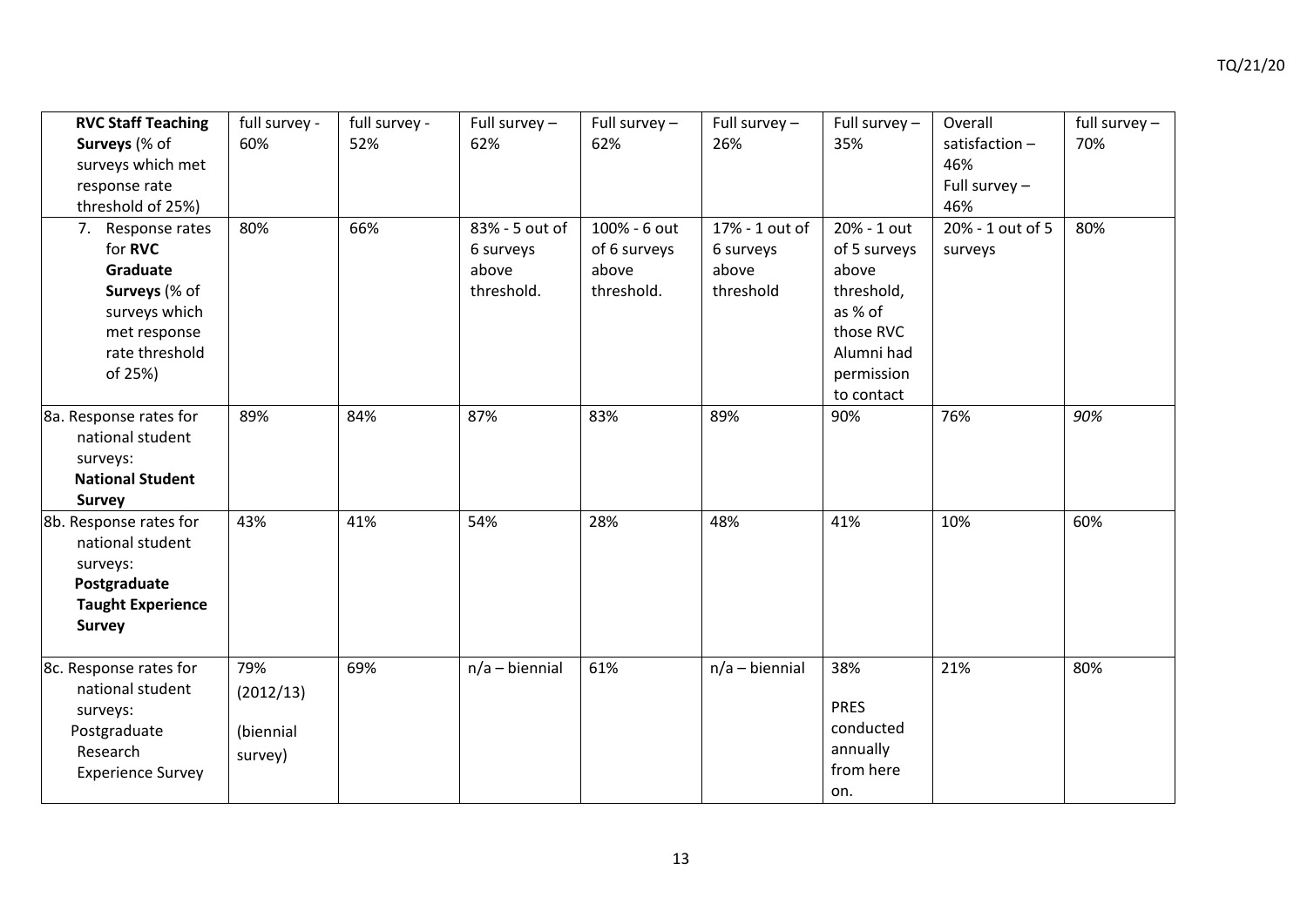| <b>RVC Staff Teaching</b><br>Surveys (% of<br>surveys which met<br>response rate<br>threshold of 25%)                   | full survey -<br>60%                     | full survey -<br>52% | Full survey $-$<br>62%                             | Full survey $-$<br>62%                              | Full survey $-$<br>26%                            | Full survey $-$<br>35%                                                                                               | Overall<br>satisfaction $-$<br>46%<br>Full survey $-$<br>46% | full survey $-$<br>70% |
|-------------------------------------------------------------------------------------------------------------------------|------------------------------------------|----------------------|----------------------------------------------------|-----------------------------------------------------|---------------------------------------------------|----------------------------------------------------------------------------------------------------------------------|--------------------------------------------------------------|------------------------|
| 7. Response rates<br>for RVC<br>Graduate<br>Surveys (% of<br>surveys which<br>met response<br>rate threshold<br>of 25%) | 80%                                      | 66%                  | 83% - 5 out of<br>6 surveys<br>above<br>threshold. | 100% - 6 out<br>of 6 surveys<br>above<br>threshold. | 17% - 1 out of<br>6 surveys<br>above<br>threshold | 20% - 1 out<br>of 5 surveys<br>above<br>threshold,<br>as % of<br>those RVC<br>Alumni had<br>permission<br>to contact | 20% - 1 out of 5<br>surveys                                  | 80%                    |
| 8a. Response rates for<br>national student<br>surveys:<br><b>National Student</b><br><b>Survey</b>                      | 89%                                      | 84%                  | 87%                                                | 83%                                                 | 89%                                               | 90%                                                                                                                  | 76%                                                          | 90%                    |
| 8b. Response rates for<br>national student<br>surveys:<br>Postgraduate<br><b>Taught Experience</b><br><b>Survey</b>     | 43%                                      | 41%                  | 54%                                                | 28%                                                 | 48%                                               | 41%                                                                                                                  | 10%                                                          | 60%                    |
| 8c. Response rates for<br>national student<br>surveys:<br>Postgraduate<br>Research<br><b>Experience Survey</b>          | 79%<br>(2012/13)<br>(biennial<br>survey) | 69%                  | $n/a - biennial$                                   | 61%                                                 | $n/a - biennial$                                  | 38%<br><b>PRES</b><br>conducted<br>annually<br>from here<br>on.                                                      | 21%                                                          | 80%                    |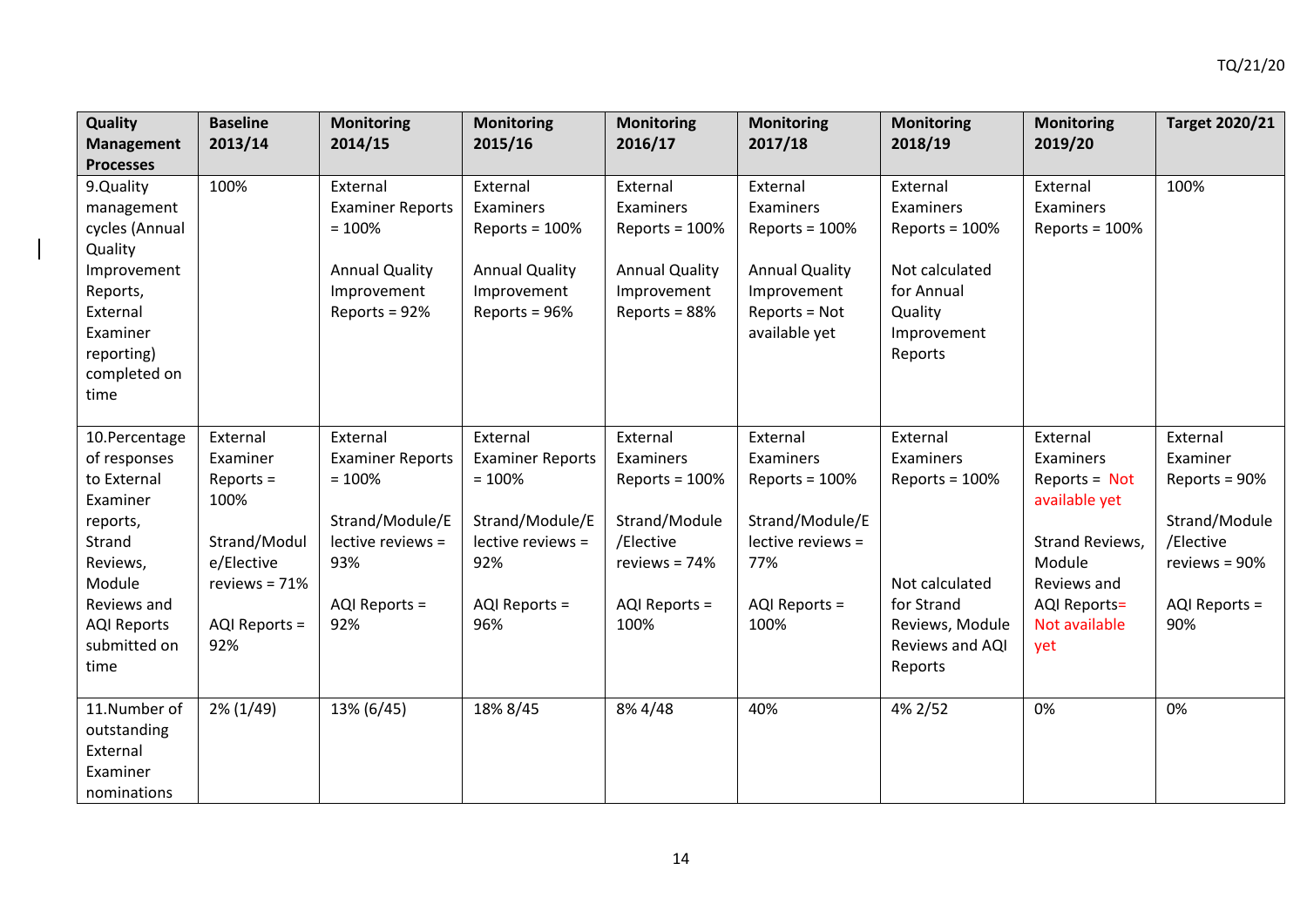| <b>Quality</b><br><b>Management</b><br><b>Processes</b>                                                                                                           | <b>Baseline</b><br>2013/14                                                                                           | <b>Monitoring</b><br>2014/15                                                                                           | <b>Monitoring</b><br>2015/16                                                                                           | <b>Monitoring</b><br>2016/17                                                                                        | <b>Monitoring</b><br>2017/18                                                                                        | <b>Monitoring</b><br>2018/19                                                                                               | <b>Monitoring</b><br>2019/20                                                                                                                                | <b>Target 2020/21</b>                                                                                        |
|-------------------------------------------------------------------------------------------------------------------------------------------------------------------|----------------------------------------------------------------------------------------------------------------------|------------------------------------------------------------------------------------------------------------------------|------------------------------------------------------------------------------------------------------------------------|---------------------------------------------------------------------------------------------------------------------|---------------------------------------------------------------------------------------------------------------------|----------------------------------------------------------------------------------------------------------------------------|-------------------------------------------------------------------------------------------------------------------------------------------------------------|--------------------------------------------------------------------------------------------------------------|
| 9.Quality<br>management<br>cycles (Annual<br>Quality<br>Improvement<br>Reports,<br>External<br>Examiner<br>reporting)<br>completed on<br>time                     | 100%                                                                                                                 | External<br><b>Examiner Reports</b><br>$= 100%$<br><b>Annual Quality</b><br>Improvement<br>Reports = 92%               | External<br>Examiners<br>Reports = $100%$<br><b>Annual Quality</b><br>Improvement<br>Reports = 96%                     | External<br>Examiners<br>Reports = $100%$<br><b>Annual Quality</b><br>Improvement<br>Reports = 88%                  | External<br>Examiners<br>Reports = $100%$<br><b>Annual Quality</b><br>Improvement<br>Reports = Not<br>available yet | External<br>Examiners<br>Reports = $100%$<br>Not calculated<br>for Annual<br>Quality<br>Improvement<br>Reports             | External<br>Examiners<br>Reports = $100%$                                                                                                                   | 100%                                                                                                         |
| 10.Percentage<br>of responses<br>to External<br>Examiner<br>reports,<br>Strand<br>Reviews,<br>Module<br>Reviews and<br><b>AQI Reports</b><br>submitted on<br>time | External<br>Examiner<br>$Reports =$<br>100%<br>Strand/Modul<br>e/Elective<br>reviews = $71%$<br>AQI Reports =<br>92% | External<br><b>Examiner Reports</b><br>$= 100%$<br>Strand/Module/E<br>lective reviews =<br>93%<br>AQI Reports =<br>92% | External<br><b>Examiner Reports</b><br>$= 100%$<br>Strand/Module/E<br>lective reviews =<br>92%<br>AQI Reports =<br>96% | External<br>Examiners<br>Reports = $100%$<br>Strand/Module<br>/Elective<br>reviews = $74%$<br>AQI Reports =<br>100% | External<br>Examiners<br>Reports = $100%$<br>Strand/Module/E<br>lective reviews =<br>77%<br>AQI Reports =<br>100%   | External<br>Examiners<br>Reports = $100%$<br>Not calculated<br>for Strand<br>Reviews, Module<br>Reviews and AQI<br>Reports | External<br>Examiners<br>Reports = $Not$<br>available yet<br><b>Strand Reviews,</b><br>Module<br>Reviews and<br><b>AQI Reports=</b><br>Not available<br>yet | External<br>Examiner<br>Reports = 90%<br>Strand/Module<br>/Elective<br>reviews = 90%<br>AQI Reports =<br>90% |
| 11.Number of<br>outstanding<br>External<br>Examiner<br>nominations                                                                                                | $2\%$ (1/49)                                                                                                         | 13% (6/45)                                                                                                             | 18% 8/45                                                                                                               | 8% 4/48                                                                                                             | 40%                                                                                                                 | 4% 2/52                                                                                                                    | 0%                                                                                                                                                          | 0%                                                                                                           |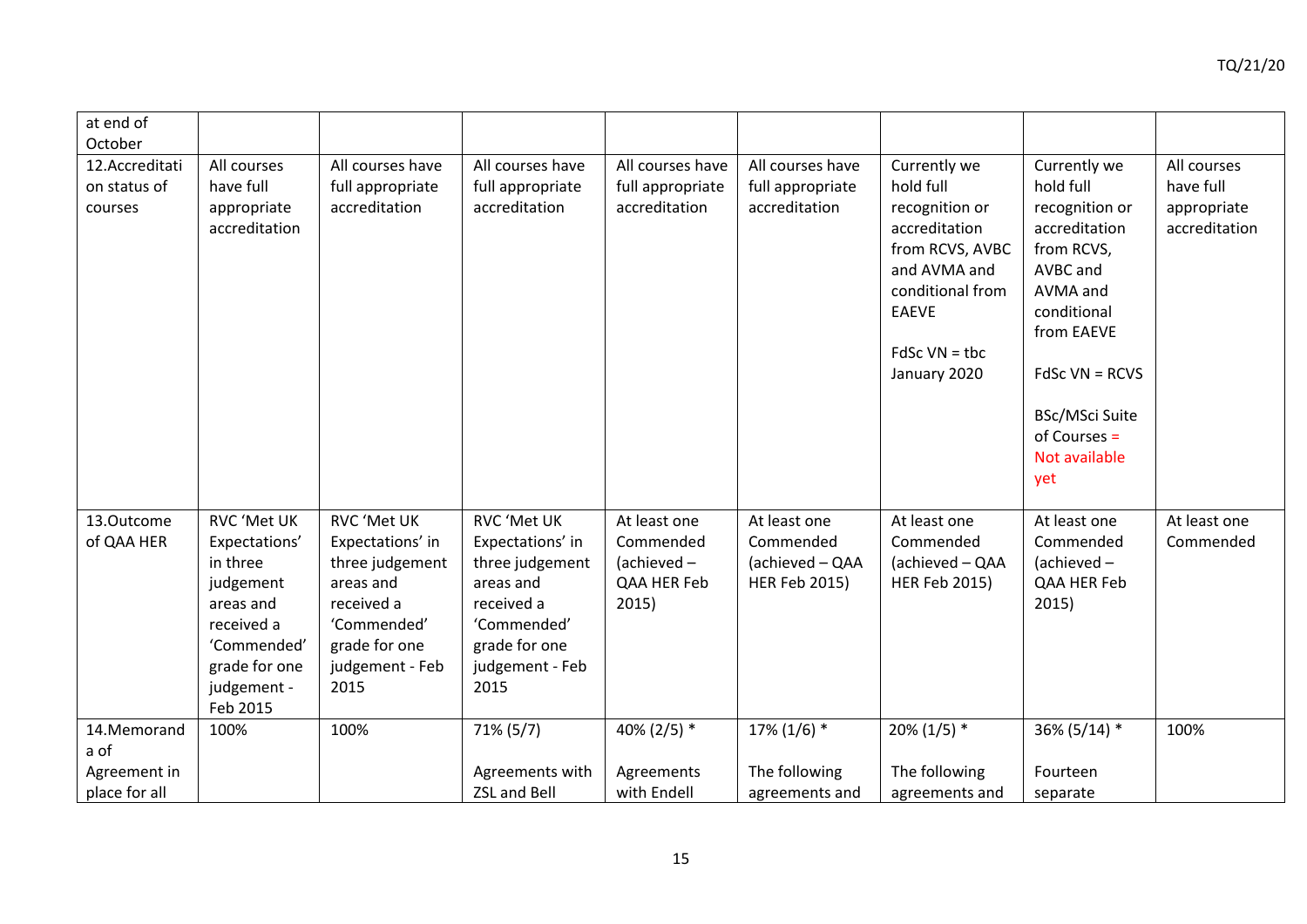| at end of                                            |                                                                                                                                             |                                                                                                                                                 |                                                                                                                                          |                                                                 |                                                                      |                                                                                                                                                                        |                                                                                                                                                                                                                 |                                                          |
|------------------------------------------------------|---------------------------------------------------------------------------------------------------------------------------------------------|-------------------------------------------------------------------------------------------------------------------------------------------------|------------------------------------------------------------------------------------------------------------------------------------------|-----------------------------------------------------------------|----------------------------------------------------------------------|------------------------------------------------------------------------------------------------------------------------------------------------------------------------|-----------------------------------------------------------------------------------------------------------------------------------------------------------------------------------------------------------------|----------------------------------------------------------|
| October<br>12.Accreditati<br>on status of<br>courses | All courses<br>have full<br>appropriate<br>accreditation                                                                                    | All courses have<br>full appropriate<br>accreditation                                                                                           | All courses have<br>full appropriate<br>accreditation                                                                                    | All courses have<br>full appropriate<br>accreditation           | All courses have<br>full appropriate<br>accreditation                | Currently we<br>hold full<br>recognition or<br>accreditation<br>from RCVS, AVBC<br>and AVMA and<br>conditional from<br><b>EAEVE</b><br>$FdSc$ VN = tbc<br>January 2020 | Currently we<br>hold full<br>recognition or<br>accreditation<br>from RCVS,<br>AVBC and<br>AVMA and<br>conditional<br>from EAEVE<br>$FdSc$ VN = RCVS<br>BSc/MSci Suite<br>of Courses $=$<br>Not available<br>yet | All courses<br>have full<br>appropriate<br>accreditation |
| 13.Outcome<br>of QAA HER                             | RVC 'Met UK<br>Expectations'<br>in three<br>judgement<br>areas and<br>received a<br>'Commended'<br>grade for one<br>judgement -<br>Feb 2015 | <b>RVC 'Met UK</b><br>Expectations' in<br>three judgement<br>areas and<br>received a<br>'Commended'<br>grade for one<br>judgement - Feb<br>2015 | RVC 'Met UK<br>Expectations' in<br>three judgement<br>areas and<br>received a<br>'Commended'<br>grade for one<br>judgement - Feb<br>2015 | At least one<br>Commended<br>(achieved-<br>QAA HER Feb<br>2015) | At least one<br>Commended<br>(achieved - QAA<br><b>HER Feb 2015)</b> | At least one<br>Commended<br>(achieved - QAA<br><b>HER Feb 2015)</b>                                                                                                   | At least one<br>Commended<br>$(achieved -$<br>QAA HER Feb<br>2015)                                                                                                                                              | At least one<br>Commended                                |
| 14.Memorand<br>a of                                  | 100%                                                                                                                                        | 100%                                                                                                                                            | $71\% (5/7)$                                                                                                                             | 40% (2/5) $*$                                                   | $17\%$ (1/6) *                                                       | $20\%$ (1/5) *                                                                                                                                                         | 36% (5/14) *                                                                                                                                                                                                    | 100%                                                     |
| Agreement in<br>place for all                        |                                                                                                                                             |                                                                                                                                                 | Agreements with<br><b>ZSL and Bell</b>                                                                                                   | Agreements<br>with Endell                                       | The following<br>agreements and                                      | The following<br>agreements and                                                                                                                                        | Fourteen<br>separate                                                                                                                                                                                            |                                                          |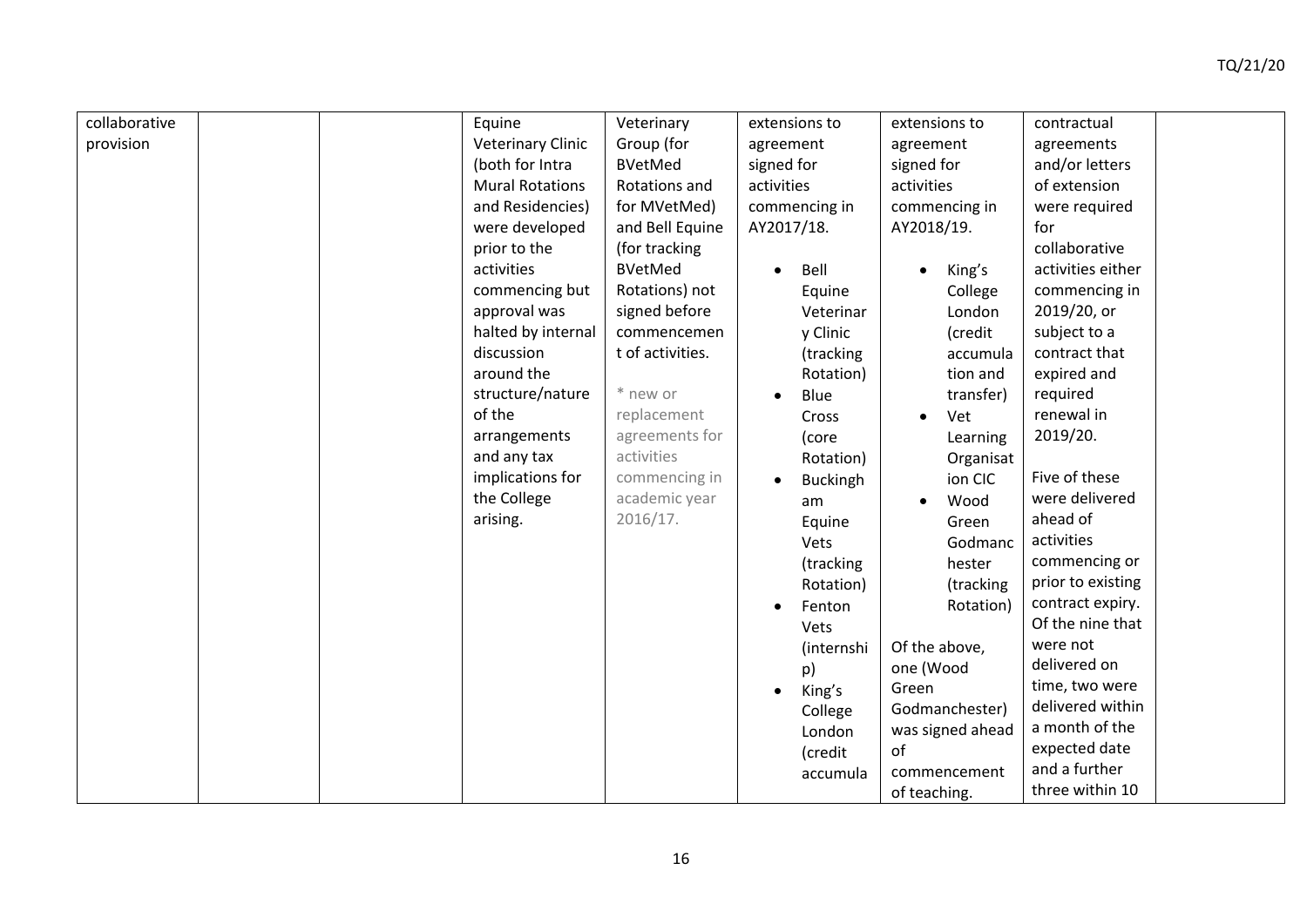| collaborative | Equine                   | Veterinary       | extensions to     | extensions to       | contractual       |
|---------------|--------------------------|------------------|-------------------|---------------------|-------------------|
| provision     | <b>Veterinary Clinic</b> | Group (for       | agreement         | agreement           | agreements        |
|               | (both for Intra          | <b>BVetMed</b>   | signed for        | signed for          | and/or letters    |
|               | <b>Mural Rotations</b>   | Rotations and    | activities        | activities          | of extension      |
|               | and Residencies)         | for MVetMed)     |                   |                     |                   |
|               |                          |                  | commencing in     | commencing in       | were required     |
|               | were developed           | and Bell Equine  | AY2017/18.        | AY2018/19.          | for               |
|               | prior to the             | (for tracking    |                   |                     | collaborative     |
|               | activities               | <b>BVetMed</b>   | Bell<br>$\bullet$ | King's<br>$\bullet$ | activities either |
|               | commencing but           | Rotations) not   | Equine            | College             | commencing in     |
|               | approval was             | signed before    | Veterinar         | London              | 2019/20, or       |
|               | halted by internal       | commencemen      | y Clinic          | (credit             | subject to a      |
|               | discussion               | t of activities. | (tracking         | accumula            | contract that     |
|               | around the               |                  | Rotation)         | tion and            | expired and       |
|               | structure/nature         | * new or         | Blue              | transfer)           | required          |
|               | of the                   | replacement      | Cross             | Vet                 | renewal in        |
|               | arrangements             | agreements for   | (core             | Learning            | 2019/20.          |
|               | and any tax              | activities       | Rotation)         | Organisat           |                   |
|               | implications for         | commencing in    | <b>Buckingh</b>   | ion CIC             | Five of these     |
|               | the College              | academic year    | am                | Wood                | were delivered    |
|               | arising.                 | 2016/17.         | Equine            | Green               | ahead of          |
|               |                          |                  | Vets              | Godmanc             | activities        |
|               |                          |                  | (tracking         | hester              | commencing or     |
|               |                          |                  | Rotation)         | (tracking           | prior to existing |
|               |                          |                  | Fenton            | Rotation)           | contract expiry.  |
|               |                          |                  | Vets              |                     | Of the nine that  |
|               |                          |                  | (internshi        | Of the above,       | were not          |
|               |                          |                  | p)                | one (Wood           | delivered on      |
|               |                          |                  | King's            | Green               | time, two were    |
|               |                          |                  | College           | Godmanchester)      | delivered within  |
|               |                          |                  | London            | was signed ahead    | a month of the    |
|               |                          |                  | (credit           | of                  | expected date     |
|               |                          |                  | accumula          | commencement        | and a further     |
|               |                          |                  |                   | of teaching.        | three within 10   |
|               |                          |                  |                   |                     |                   |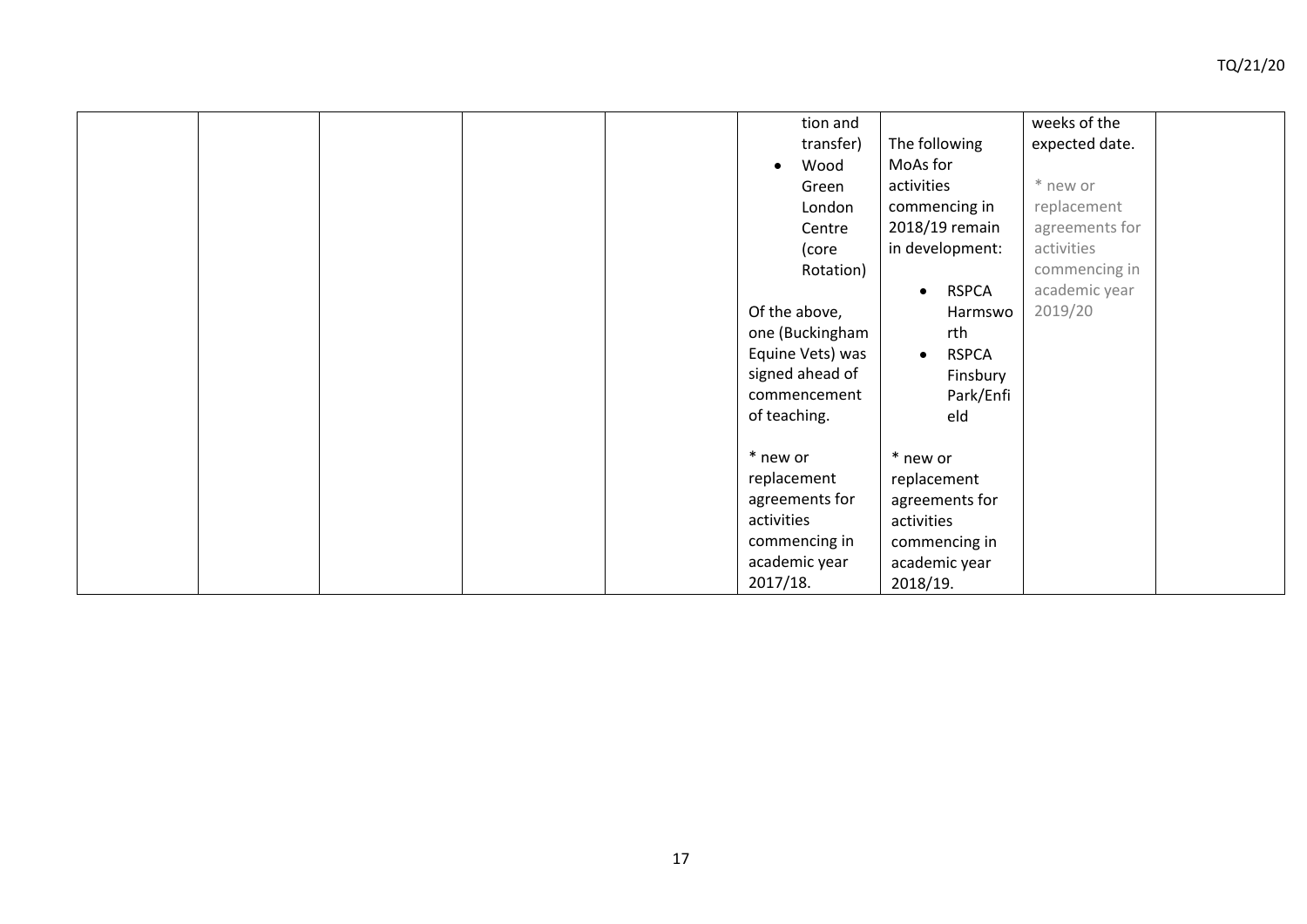|  |  | tion and          |                           | weeks of the   |  |
|--|--|-------------------|---------------------------|----------------|--|
|  |  | transfer)         | The following             | expected date. |  |
|  |  | Wood<br>$\bullet$ | MoAs for                  |                |  |
|  |  | Green             | activities                | * new or       |  |
|  |  | London            | commencing in             | replacement    |  |
|  |  | Centre            | 2018/19 remain            | agreements for |  |
|  |  | (core             | in development:           | activities     |  |
|  |  | Rotation)         |                           | commencing in  |  |
|  |  |                   | <b>RSPCA</b><br>$\bullet$ | academic year  |  |
|  |  | Of the above,     | Harmswo                   | 2019/20        |  |
|  |  | one (Buckingham   | rth                       |                |  |
|  |  | Equine Vets) was  | <b>RSPCA</b><br>$\bullet$ |                |  |
|  |  | signed ahead of   | Finsbury                  |                |  |
|  |  | commencement      | Park/Enfi                 |                |  |
|  |  | of teaching.      | eld                       |                |  |
|  |  |                   |                           |                |  |
|  |  | * new or          | * new or                  |                |  |
|  |  | replacement       | replacement               |                |  |
|  |  | agreements for    | agreements for            |                |  |
|  |  | activities        | activities                |                |  |
|  |  | commencing in     | commencing in             |                |  |
|  |  | academic year     | academic year             |                |  |
|  |  | 2017/18.          | 2018/19.                  |                |  |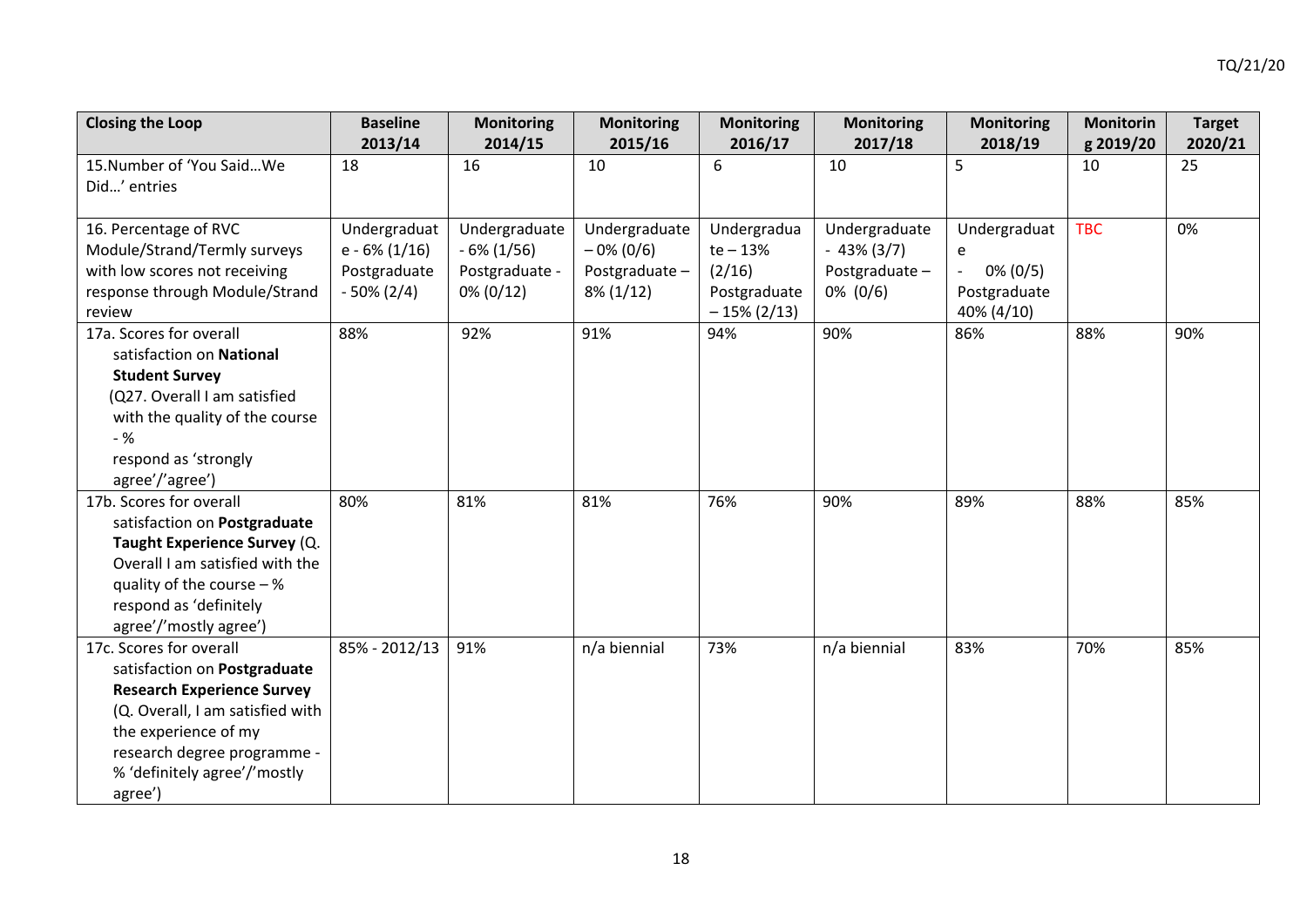| <b>Closing the Loop</b>           | <b>Baseline</b>  | <b>Monitoring</b> | <b>Monitoring</b> | <b>Monitoring</b> | <b>Monitoring</b> | <b>Monitoring</b> | <b>Monitorin</b> | <b>Target</b> |
|-----------------------------------|------------------|-------------------|-------------------|-------------------|-------------------|-------------------|------------------|---------------|
|                                   | 2013/14          | 2014/15           | 2015/16           | 2016/17           | 2017/18           | 2018/19           | g 2019/20        | 2020/21       |
| 15. Number of 'You Said We        | 18               | 16                | 10                | 6                 | 10                | 5                 | 10               | 25            |
| Did' entries                      |                  |                   |                   |                   |                   |                   |                  |               |
|                                   |                  |                   |                   |                   |                   |                   |                  |               |
| 16. Percentage of RVC             | Undergraduat     | Undergraduate     | Undergraduate     | Undergradua       | Undergraduate     | Undergraduat      | <b>TBC</b>       | 0%            |
| Module/Strand/Termly surveys      | $e - 6\% (1/16)$ | $-6\%$ (1/56)     | $-0\%$ (0/6)      | $te - 13%$        | $-43\% (3/7)$     | e                 |                  |               |
| with low scores not receiving     | Postgraduate     | Postgraduate -    | Postgraduate-     | (2/16)            | Postgraduate-     | $0\% (0/5)$       |                  |               |
| response through Module/Strand    | $-50\% (2/4)$    | $0\% (0/12)$      | $8\%$ (1/12)      | Postgraduate      | $0\%$ (0/6)       | Postgraduate      |                  |               |
| review                            |                  |                   |                   | $-15\% (2/13)$    |                   | 40% (4/10)        |                  |               |
| 17a. Scores for overall           | 88%              | 92%               | 91%               | 94%               | 90%               | 86%               | 88%              | 90%           |
| satisfaction on National          |                  |                   |                   |                   |                   |                   |                  |               |
| <b>Student Survey</b>             |                  |                   |                   |                   |                   |                   |                  |               |
| (Q27. Overall I am satisfied      |                  |                   |                   |                   |                   |                   |                  |               |
| with the quality of the course    |                  |                   |                   |                   |                   |                   |                  |               |
| $-$ %                             |                  |                   |                   |                   |                   |                   |                  |               |
| respond as 'strongly              |                  |                   |                   |                   |                   |                   |                  |               |
| agree'/'agree')                   |                  |                   |                   |                   |                   |                   |                  |               |
| 17b. Scores for overall           | 80%              | 81%               | 81%               | 76%               | 90%               | 89%               | 88%              | 85%           |
| satisfaction on Postgraduate      |                  |                   |                   |                   |                   |                   |                  |               |
| Taught Experience Survey (Q.      |                  |                   |                   |                   |                   |                   |                  |               |
| Overall I am satisfied with the   |                  |                   |                   |                   |                   |                   |                  |               |
| quality of the course $-$ %       |                  |                   |                   |                   |                   |                   |                  |               |
| respond as 'definitely            |                  |                   |                   |                   |                   |                   |                  |               |
| agree'/'mostly agree')            |                  |                   |                   |                   |                   |                   |                  |               |
| 17c. Scores for overall           | 85% - 2012/13    | 91%               | n/a biennial      | 73%               | n/a biennial      | 83%               | 70%              | 85%           |
| satisfaction on Postgraduate      |                  |                   |                   |                   |                   |                   |                  |               |
| <b>Research Experience Survey</b> |                  |                   |                   |                   |                   |                   |                  |               |
| (Q. Overall, I am satisfied with  |                  |                   |                   |                   |                   |                   |                  |               |
| the experience of my              |                  |                   |                   |                   |                   |                   |                  |               |
| research degree programme -       |                  |                   |                   |                   |                   |                   |                  |               |
| % 'definitely agree'/'mostly      |                  |                   |                   |                   |                   |                   |                  |               |
| agree')                           |                  |                   |                   |                   |                   |                   |                  |               |